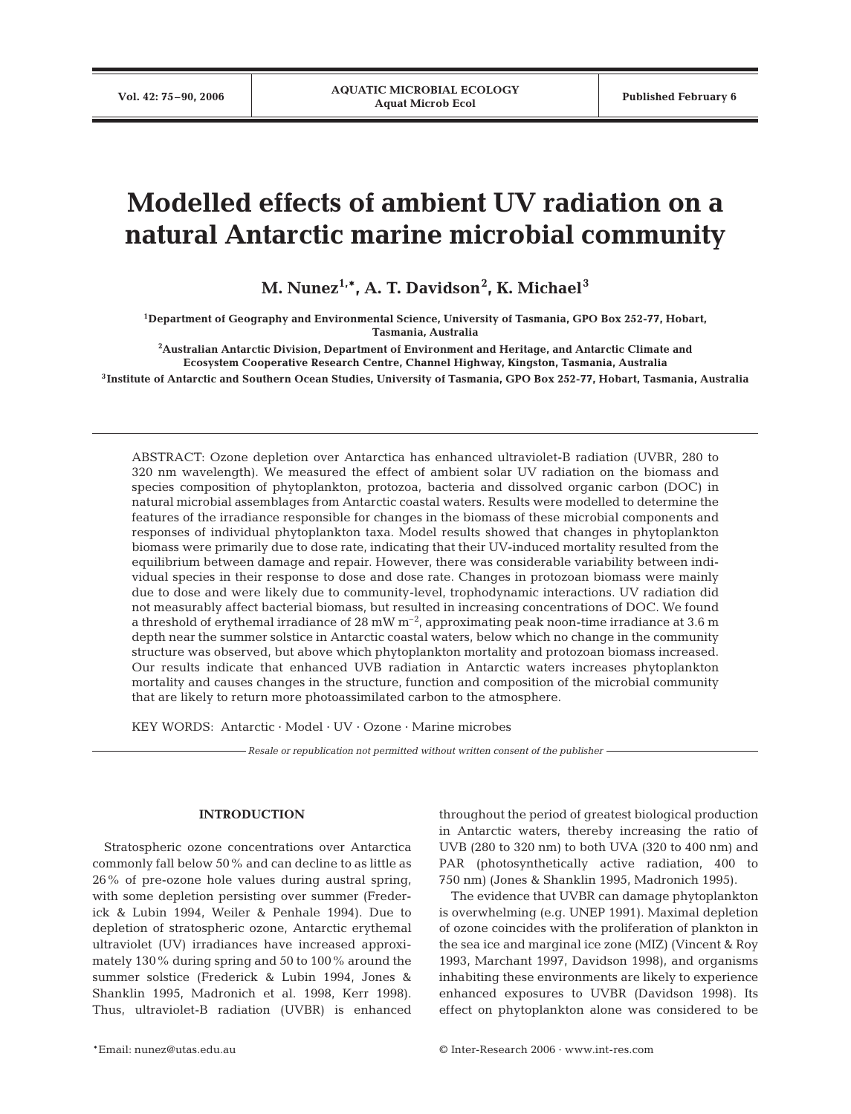# **Modelled effects of ambient UV radiation on a natural Antarctic marine microbial community**

**M. Nunez1,\*, A. T. Davidson2 , K. Michael<sup>3</sup>**

**1Department of Geography and Environmental Science, University of Tasmania, GPO Box 252-77, Hobart, Tasmania, Australia**

**2 Australian Antarctic Division, Department of Environment and Heritage, and Antarctic Climate and Ecosystem Cooperative Research Centre, Channel Highway, Kingston, Tasmania, Australia**

**3Institute of Antarctic and Southern Ocean Studies, University of Tasmania, GPO Box 252-77, Hobart, Tasmania, Australia**

ABSTRACT: Ozone depletion over Antarctica has enhanced ultraviolet-B radiation (UVBR, 280 to 320 nm wavelength). We measured the effect of ambient solar UV radiation on the biomass and species composition of phytoplankton, protozoa, bacteria and dissolved organic carbon (DOC) in natural microbial assemblages from Antarctic coastal waters. Results were modelled to determine the features of the irradiance responsible for changes in the biomass of these microbial components and responses of individual phytoplankton taxa. Model results showed that changes in phytoplankton biomass were primarily due to dose rate, indicating that their UV-induced mortality resulted from the equilibrium between damage and repair. However, there was considerable variability between individual species in their response to dose and dose rate. Changes in protozoan biomass were mainly due to dose and were likely due to community-level, trophodynamic interactions. UV radiation did not measurably affect bacterial biomass, but resulted in increasing concentrations of DOC. We found a threshold of erythemal irradiance of 28 mW m<sup>-2</sup>, approximating peak noon-time irradiance at 3.6 m depth near the summer solstice in Antarctic coastal waters, below which no change in the community structure was observed, but above which phytoplankton mortality and protozoan biomass increased. Our results indicate that enhanced UVB radiation in Antarctic waters increases phytoplankton mortality and causes changes in the structure, function and composition of the microbial community that are likely to return more photoassimilated carbon to the atmosphere.

KEY WORDS: Antarctic · Model · UV · Ozone · Marine microbes

*Resale or republication not permitted without written consent of the publisher*

# **INTRODUCTION**

Stratospheric ozone concentrations over Antarctica commonly fall below 50% and can decline to as little as 26% of pre-ozone hole values during austral spring, with some depletion persisting over summer (Frederick & Lubin 1994, Weiler & Penhale 1994). Due to depletion of stratospheric ozone, Antarctic erythemal ultraviolet (UV) irradiances have increased approximately 130% during spring and 50 to 100% around the summer solstice (Frederick & Lubin 1994, Jones & Shanklin 1995, Madronich et al. 1998, Kerr 1998). Thus, ultraviolet-B radiation (UVBR) is enhanced throughout the period of greatest biological production in Antarctic waters, thereby increasing the ratio of UVB (280 to 320 nm) to both UVA (320 to 400 nm) and PAR (photosynthetically active radiation, 400 to 750 nm) (Jones & Shanklin 1995, Madronich 1995).

The evidence that UVBR can damage phytoplankton is overwhelming (e.g. UNEP 1991). Maximal depletion of ozone coincides with the proliferation of plankton in the sea ice and marginal ice zone (MIZ) (Vincent & Roy 1993, Marchant 1997, Davidson 1998), and organisms inhabiting these environments are likely to experience enhanced exposures to UVBR (Davidson 1998). Its effect on phytoplankton alone was considered to be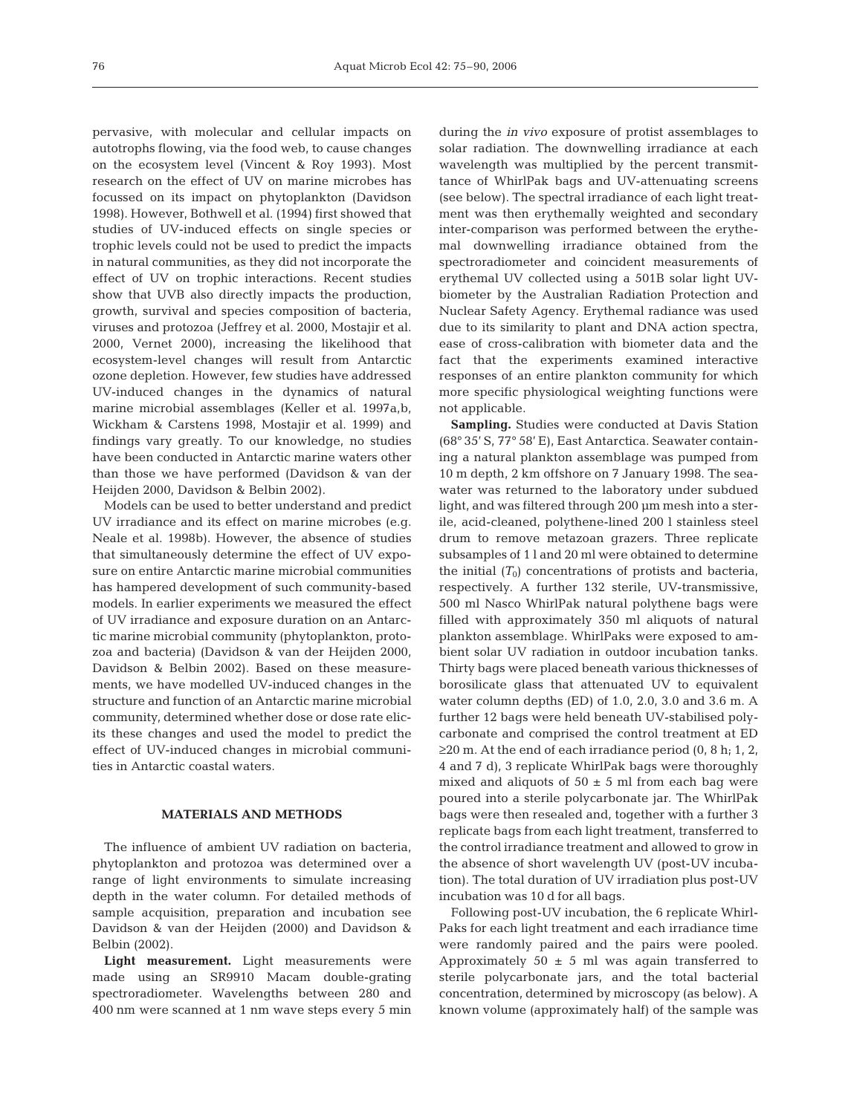pervasive, with molecular and cellular impacts on autotrophs flowing, via the food web, to cause changes on the ecosystem level (Vincent & Roy 1993). Most research on the effect of UV on marine microbes has focussed on its impact on phytoplankton (Davidson 1998). However, Bothwell et al. (1994) first showed that studies of UV-induced effects on single species or trophic levels could not be used to predict the impacts in natural communities, as they did not incorporate the effect of UV on trophic interactions. Recent studies show that UVB also directly impacts the production, growth, survival and species composition of bacteria, viruses and protozoa (Jeffrey et al. 2000, Mostajir et al. 2000, Vernet 2000), increasing the likelihood that ecosystem-level changes will result from Antarctic ozone depletion. However, few studies have addressed UV-induced changes in the dynamics of natural marine microbial assemblages (Keller et al. 1997a,b, Wickham & Carstens 1998, Mostajir et al. 1999) and findings vary greatly. To our knowledge, no studies have been conducted in Antarctic marine waters other than those we have performed (Davidson & van der Heijden 2000, Davidson & Belbin 2002).

Models can be used to better understand and predict UV irradiance and its effect on marine microbes (e.g. Neale et al. 1998b). However, the absence of studies that simultaneously determine the effect of UV exposure on entire Antarctic marine microbial communities has hampered development of such community-based models. In earlier experiments we measured the effect of UV irradiance and exposure duration on an Antarctic marine microbial community (phytoplankton, protozoa and bacteria) (Davidson & van der Heijden 2000, Davidson & Belbin 2002). Based on these measurements, we have modelled UV-induced changes in the structure and function of an Antarctic marine microbial community, determined whether dose or dose rate elicits these changes and used the model to predict the effect of UV-induced changes in microbial communities in Antarctic coastal waters.

# **MATERIALS AND METHODS**

The influence of ambient UV radiation on bacteria, phytoplankton and protozoa was determined over a range of light environments to simulate increasing depth in the water column. For detailed methods of sample acquisition, preparation and incubation see Davidson & van der Heijden (2000) and Davidson & Belbin (2002).

**Light measurement.** Light measurements were made using an SR9910 Macam double-grating spectroradiometer. Wavelengths between 280 and 400 nm were scanned at 1 nm wave steps every 5 min during the *in vivo* exposure of protist assemblages to solar radiation. The downwelling irradiance at each wavelength was multiplied by the percent transmittance of WhirlPak bags and UV-attenuating screens (see below). The spectral irradiance of each light treatment was then erythemally weighted and secondary inter-comparison was performed between the erythemal downwelling irradiance obtained from the spectroradiometer and coincident measurements of erythemal UV collected using a 501B solar light UVbiometer by the Australian Radiation Protection and Nuclear Safety Agency. Erythemal radiance was used due to its similarity to plant and DNA action spectra, ease of cross-calibration with biometer data and the fact that the experiments examined interactive responses of an entire plankton community for which more specific physiological weighting functions were not applicable.

**Sampling.** Studies were conducted at Davis Station (68° 35' S, 77° 58' E), East Antarctica. Seawater containing a natural plankton assemblage was pumped from 10 m depth, 2 km offshore on 7 January 1998. The seawater was returned to the laboratory under subdued light, and was filtered through 200 μm mesh into a sterile, acid-cleaned, polythene-lined 200 l stainless steel drum to remove metazoan grazers. Three replicate subsamples of 1 l and 20 ml were obtained to determine the initial  $(T_0)$  concentrations of protists and bacteria, respectively. A further 132 sterile, UV-transmissive, 500 ml Nasco WhirlPak natural polythene bags were filled with approximately 350 ml aliquots of natural plankton assemblage. WhirlPaks were exposed to ambient solar UV radiation in outdoor incubation tanks. Thirty bags were placed beneath various thicknesses of borosilicate glass that attenuated UV to equivalent water column depths (ED) of 1.0, 2.0, 3.0 and 3.6 m. A further 12 bags were held beneath UV-stabilised polycarbonate and comprised the control treatment at ED  $\geq$ 20 m. At the end of each irradiance period (0, 8 h; 1, 2, 4 and 7 d), 3 replicate WhirlPak bags were thoroughly mixed and aliquots of  $50 \pm 5$  ml from each bag were poured into a sterile polycarbonate jar. The WhirlPak bags were then resealed and, together with a further 3 replicate bags from each light treatment, transferred to the control irradiance treatment and allowed to grow in the absence of short wavelength UV (post-UV incubation). The total duration of UV irradiation plus post-UV incubation was 10 d for all bags.

Following post-UV incubation, the 6 replicate Whirl-Paks for each light treatment and each irradiance time were randomly paired and the pairs were pooled. Approximately  $50 \pm 5$  ml was again transferred to sterile polycarbonate jars, and the total bacterial concentration, determined by microscopy (as below). A known volume (approximately half) of the sample was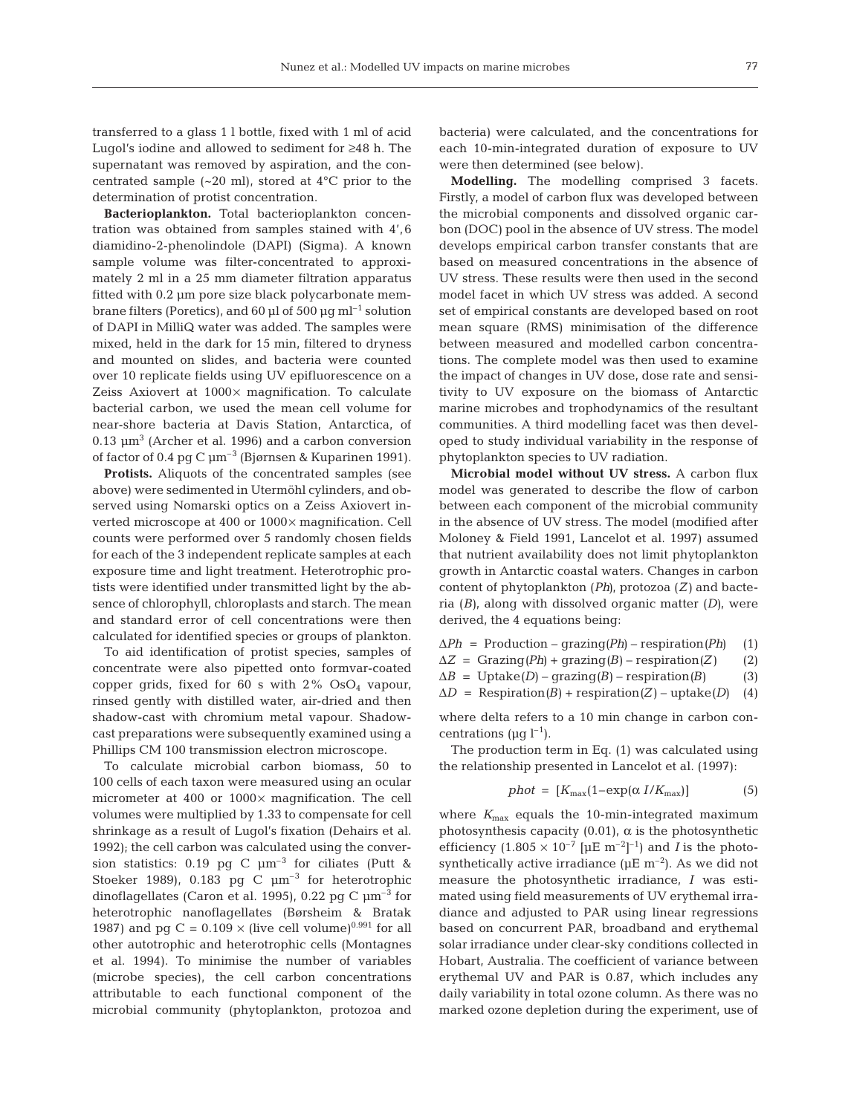transferred to a glass 1 l bottle, fixed with 1 ml of acid Lugol's iodine and allowed to sediment for ≥48 h. The supernatant was removed by aspiration, and the concentrated sample (~20 ml), stored at 4°C prior to the determination of protist concentration.

**Bacterioplankton.** Total bacterioplankton concentration was obtained from samples stained with 4', 6 diamidino-2-phenolindole (DAPI) (Sigma). A known sample volume was filter-concentrated to approximately 2 ml in a 25 mm diameter filtration apparatus fitted with 0.2 μm pore size black polycarbonate membrane filters (Poretics), and 60 μl of 500 μg ml<sup>-1</sup> solution of DAPI in MilliQ water was added. The samples were mixed, held in the dark for 15 min, filtered to dryness and mounted on slides, and bacteria were counted over 10 replicate fields using UV epifluorescence on a Zeiss Axiovert at 1000× magnification. To calculate bacterial carbon, we used the mean cell volume for near-shore bacteria at Davis Station, Antarctica, of  $0.13 \mu m^3$  (Archer et al. 1996) and a carbon conversion of factor of 0.4 pg C  $\mu$ m<sup>-3</sup> (Bjørnsen & Kuparinen 1991).

**Protists.** Aliquots of the concentrated samples (see above) were sedimented in Utermöhl cylinders, and observed using Nomarski optics on a Zeiss Axiovert inverted microscope at 400 or 1000× magnification. Cell counts were performed over 5 randomly chosen fields for each of the 3 independent replicate samples at each exposure time and light treatment. Heterotrophic protists were identified under transmitted light by the absence of chlorophyll, chloroplasts and starch. The mean and standard error of cell concentrations were then calculated for identified species or groups of plankton.

To aid identification of protist species, samples of concentrate were also pipetted onto formvar-coated copper grids, fixed for 60 s with  $2\%$  OsO<sub>4</sub> vapour, rinsed gently with distilled water, air-dried and then shadow-cast with chromium metal vapour. Shadowcast preparations were subsequently examined using a Phillips CM 100 transmission electron microscope.

To calculate microbial carbon biomass, 50 to 100 cells of each taxon were measured using an ocular micrometer at 400 or  $1000 \times$  magnification. The cell volumes were multiplied by 1.33 to compensate for cell shrinkage as a result of Lugol's fixation (Dehairs et al. 1992); the cell carbon was calculated using the conversion statistics: 0.19 pg C  $\mu$ m<sup>-3</sup> for ciliates (Putt & Stoeker 1989), 0.183 pg C  $\mu$ m<sup>-3</sup> for heterotrophic dinoflagellates (Caron et al. 1995), 0.22 pg C  $\mu$ m<sup>-3</sup> for heterotrophic nanoflagellates (Børsheim & Bratak 1987) and pg C =  $0.109 \times$  (live cell volume)<sup>0.991</sup> for all other autotrophic and heterotrophic cells (Montagnes et al. 1994). To minimise the number of variables (microbe species), the cell carbon concentrations attributable to each functional component of the microbial community (phytoplankton, protozoa and

bacteria) were calculated, and the concentrations for each 10-min-integrated duration of exposure to UV were then determined (see below).

**Modelling.** The modelling comprised 3 facets. Firstly, a model of carbon flux was developed between the microbial components and dissolved organic carbon (DOC) pool in the absence of UV stress. The model develops empirical carbon transfer constants that are based on measured concentrations in the absence of UV stress. These results were then used in the second model facet in which UV stress was added. A second set of empirical constants are developed based on root mean square (RMS) minimisation of the difference between measured and modelled carbon concentrations. The complete model was then used to examine the impact of changes in UV dose, dose rate and sensitivity to UV exposure on the biomass of Antarctic marine microbes and trophodynamics of the resultant communities. A third modelling facet was then developed to study individual variability in the response of phytoplankton species to UV radiation.

**Microbial model without UV stress.** A carbon flux model was generated to describe the flow of carbon between each component of the microbial community in the absence of UV stress. The model (modified after Moloney & Field 1991, Lancelot et al. 1997) assumed that nutrient availability does not limit phytoplankton growth in Antarctic coastal waters. Changes in carbon content of phytoplankton (*Ph)*, protozoa (*Z)* and bacteria (*B)*, along with dissolved organic matter (*D)*, were derived, the 4 equations being:

Δ*Ph* = Production – grazing*(Ph)* – respiration*(Ph)* (1)

 $\Delta Z$  = Grazing*(Ph)* + grazing*(B)* – respiration*(Z)* (2)

 $\Delta B = \text{Update}(D) - \text{grazing}(B) - \text{respiration}(B)$  (3)

 $\Delta D$  = Respiration*(B)* + respiration*(Z)* – uptake*(D)* (4)

where delta refers to a 10 min change in carbon concentrations ( $\mu q l^{-1}$ ).

The production term in Eq. (1) was calculated using the relationship presented in Lancelot et al. (1997):

$$
phot = [K_{\text{max}}(1 - \exp(\alpha \, I/K_{\text{max}})] \tag{5}
$$

where  $K_{\text{max}}$  equals the 10-min-integrated maximum photosynthesis capacity  $(0.01)$ ,  $\alpha$  is the photosynthetic efficiency  $(1.805 \times 10^{-7} \text{ [µE m}^{-2}]^{-1})$  and *I* is the photosynthetically active irradiance ( $\mu$ E m<sup>-2</sup>). As we did not measure the photosynthetic irradiance, *I* was estimated using field measurements of UV erythemal irradiance and adjusted to PAR using linear regressions based on concurrent PAR, broadband and erythemal solar irradiance under clear-sky conditions collected in Hobart, Australia. The coefficient of variance between erythemal UV and PAR is 0.87, which includes any daily variability in total ozone column. As there was no marked ozone depletion during the experiment, use of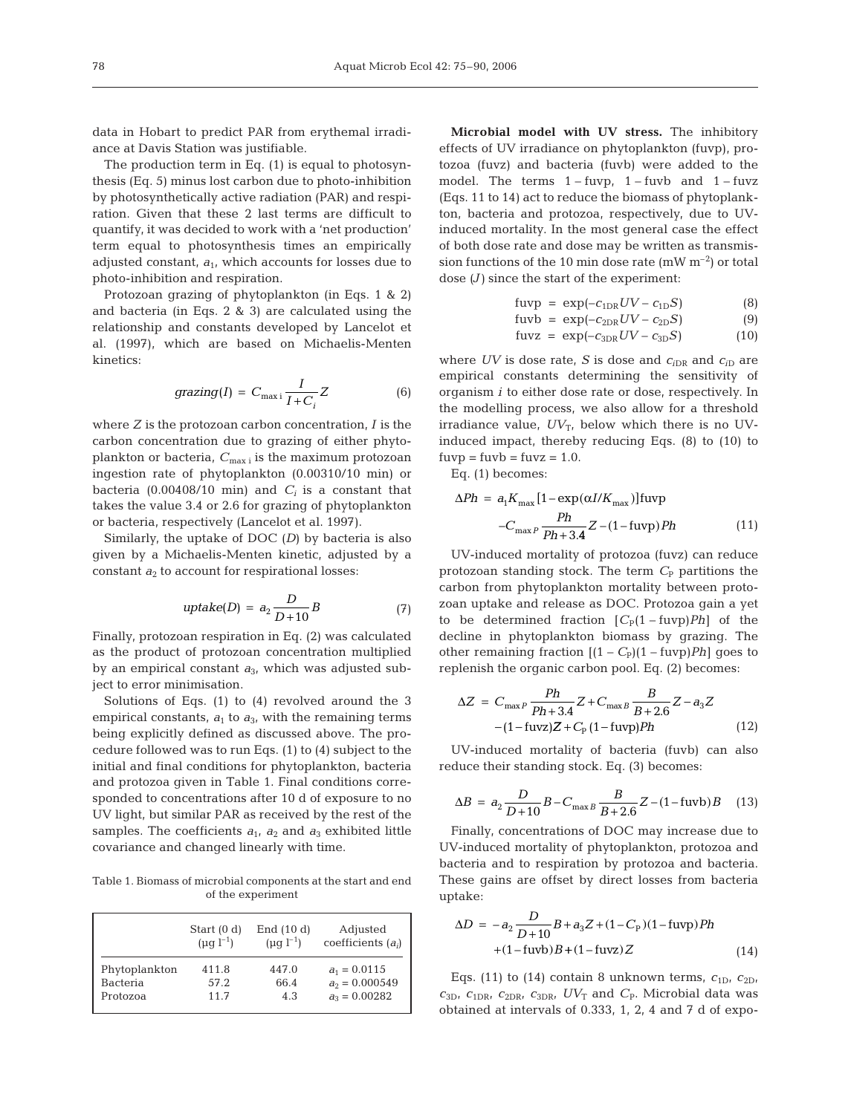data in Hobart to predict PAR from erythemal irradiance at Davis Station was justifiable.

The production term in Eq. (1) is equal to photosynthesis (Eq. 5) minus lost carbon due to photo-inhibition by photosynthetically active radiation (PAR) and respiration. Given that these 2 last terms are difficult to quantify, it was decided to work with a 'net production' term equal to photosynthesis times an empirically adjusted constant,  $a_1$ , which accounts for losses due to photo-inhibition and respiration.

Protozoan grazing of phytoplankton (in Eqs. 1 & 2) and bacteria (in Eqs. 2 & 3) are calculated using the relationship and constants developed by Lancelot et al. (1997), which are based on Michaelis-Menten kinetics:

$$
grazing(I) = C_{\max i} \frac{I}{I + C_i} Z \tag{6}
$$

where *Z* is the protozoan carbon concentration, *I* is the carbon concentration due to grazing of either phytoplankton or bacteria,  $C_{\text{max i}}$  is the maximum protozoan ingestion rate of phytoplankton (0.00310/10 min) or bacteria (0.00408/10 min) and  $C_i$  is a constant that takes the value 3.4 or 2.6 for grazing of phytoplankton or bacteria, respectively (Lancelot et al. 1997).

Similarly, the uptake of DOC (*D*) by bacteria is also given by a Michaelis-Menten kinetic, adjusted by a constant  $a_2$  to account for respirational losses:

$$
uptake(D) = a_2 \frac{D}{D+10}B \tag{7}
$$

Finally, protozoan respiration in Eq. (2) was calculated as the product of protozoan concentration multiplied by an empirical constant *a*3, which was adjusted subject to error minimisation.

Solutions of Eqs. (1) to (4) revolved around the 3 empirical constants,  $a_1$  to  $a_3$ , with the remaining terms being explicitly defined as discussed above. The procedure followed was to run Eqs. (1) to (4) subject to the initial and final conditions for phytoplankton, bacteria and protozoa given in Table 1. Final conditions corresponded to concentrations after 10 d of exposure to no UV light, but similar PAR as received by the rest of the samples. The coefficients  $a_1$ ,  $a_2$  and  $a_3$  exhibited little covariance and changed linearly with time.

Table 1. Biomass of microbial components at the start and end of the experiment

|               | Start $(0 d)$    | End $(10 d)$     | Adjusted             |
|---------------|------------------|------------------|----------------------|
|               | $(\mu q l^{-1})$ | $(\mu q l^{-1})$ | coefficients $(a_i)$ |
| Phytoplankton | 411.8            | 447.0            | $a_1 = 0.0115$       |
| Bacteria      | 57.2             | 66.4             | $a_2 = 0.000549$     |
| Protozoa      | 11.7             | 4.3              | $a_3 = 0.00282$      |

**Microbial model with UV stress.** The inhibitory effects of UV irradiance on phytoplankton (fuvp), protozoa (fuvz) and bacteria (fuvb) were added to the model. The terms  $1 - f_{\text{uvp}}$ ,  $1 - f_{\text{uvb}}$  and  $1 - f_{\text{uvz}}$ (Eqs. 11 to 14) act to reduce the biomass of phytoplankton, bacteria and protozoa, respectively, due to UVinduced mortality. In the most general case the effect of both dose rate and dose may be written as transmission functions of the 10 min dose rate  $(mW m^{-2})$  or total dose *(J)* since the start of the experiment:

$$
fuvp = exp(-c_{1DR}UV - c_{1D}S)
$$
 (8)

$$
fuvb = \exp(-c_{2DR}UV - c_{2D}S) \tag{9}
$$

$$
fuvz = exp(-c_{3DR}UV - c_{3D}S)
$$
 (10)

where  $UV$  is dose rate,  $S$  is dose and  $c_{iDR}$  and  $c_{iD}$  are empirical constants determining the sensitivity of organism *i* to either dose rate or dose, respectively. In the modelling process, we also allow for a threshold irradiance value,  $UV_T$ , below which there is no UVinduced impact, thereby reducing Eqs. (8) to (10) to  $f_{\text{uvp}} = f_{\text{uvb}} = f_{\text{uvz}} = 1.0.$ 

Eq. (1) becomes:

$$
\Delta Ph = a_1 K_{\text{max}} [1 - \exp(\alpha I/K_{\text{max}})] \text{fuvp}
$$

$$
-C_{\text{max}} P \frac{Ph}{Ph + 3.4} Z - (1 - \text{fuvp}) Ph \tag{11}
$$

UV-induced mortality of protozoa (fuvz) can reduce protozoan standing stock. The term  $C_{\rm P}$  partitions the carbon from phytoplankton mortality between protozoan uptake and release as DOC. Protozoa gain a yet to be determined fraction  $[C_{P}(1 - f_{U}y)Ph]$  of the decline in phytoplankton biomass by grazing. The other remaining fraction  $[(1 - C_P)(1 - f_{uv})Ph]$  goes to replenish the organic carbon pool. Eq. (2) becomes:

$$
\Delta Z = C_{\max P} \frac{Ph}{Ph + 3.4} Z + C_{\max B} \frac{B}{B + 2.6} Z - a_3 Z
$$
  
-(1 - fuvz)Z + C<sub>p</sub> (1 - fuvp)Ph (12)

UV-induced mortality of bacteria (fuvb) can also reduce their standing stock. Eq. (3) becomes:

$$
\Delta B = a_2 \frac{D}{D+10} B - C_{\text{max }B} \frac{B}{B+2.6} Z - (1 - \text{fuvb}) B \quad (13)
$$

Finally, concentrations of DOC may increase due to UV-induced mortality of phytoplankton, protozoa and bacteria and to respiration by protozoa and bacteria. These gains are offset by direct losses from bacteria uptake:

$$
\Delta D = -a_2 \frac{D}{D+10} B + a_3 Z + (1 - C_P)(1 - \text{fuvp})Ph + (1 - \text{fuvb})B + (1 - \text{fuvz})Z
$$
(14)

Eqs. (11) to (14) contain 8 unknown terms,  $c_{1D}$ ,  $c_{2D}$ ,  $c_{3D}$ ,  $c_{1DR}$ ,  $c_{2DR}$ ,  $c_{3DR}$ ,  $UV_T$  and  $C_P$ . Microbial data was obtained at intervals of 0.333, 1, 2, 4 and 7 d of expo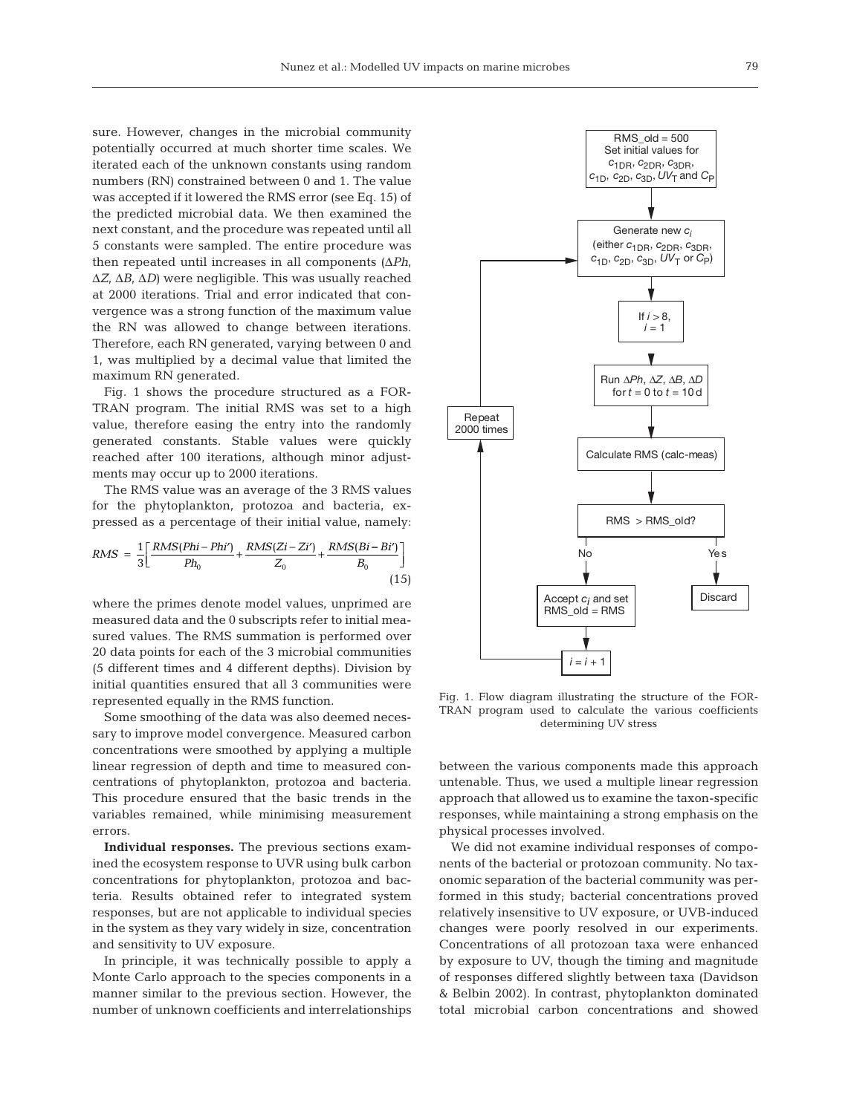sure. However, changes in the microbial community potentially occurred at much shorter time scales. We iterated each of the unknown constants using random numbers (RN) constrained between 0 and 1. The value was accepted if it lowered the RMS error (see Eq. 15) of the predicted microbial data. We then examined the next constant, and the procedure was repeated until all 5 constants were sampled. The entire procedure was then repeated until increases in all components (Δ*Ph*, Δ*Z*, Δ*B*, Δ*D)* were negligible. This was usually reached at 2000 iterations. Trial and error indicated that convergence was a strong function of the maximum value the RN was allowed to change between iterations. Therefore, each RN generated, varying between 0 and 1, was multiplied by a decimal value that limited the maximum RN generated.

Fig. 1 shows the procedure structured as a FOR-TRAN program. The initial RMS was set to a high value, therefore easing the entry into the randomly generated constants. Stable values were quickly reached after 100 iterations, although minor adjustments may occur up to 2000 iterations.

The RMS value was an average of the 3 RMS values for the phytoplankton, protozoa and bacteria, expressed as a percentage of their initial value, namely:

$$
RMS = \frac{1}{3} \left[ \frac{RMS(Phi - Phi')}{Ph_0} + \frac{RMS(Zi - Zi')}{Z_0} + \frac{RMS(Bi - Bi')}{B_0} \right]
$$
\n(15)

where the primes denote model values, unprimed are measured data and the 0 subscripts refer to initial measured values. The RMS summation is performed over 20 data points for each of the 3 microbial communities (5 different times and 4 different depths). Division by initial quantities ensured that all 3 communities were represented equally in the RMS function.

Some smoothing of the data was also deemed necessary to improve model convergence. Measured carbon concentrations were smoothed by applying a multiple linear regression of depth and time to measured concentrations of phytoplankton, protozoa and bacteria. This procedure ensured that the basic trends in the variables remained, while minimising measurement errors.

**Individual responses.** The previous sections examined the ecosystem response to UVR using bulk carbon concentrations for phytoplankton, protozoa and bacteria. Results obtained refer to integrated system responses, but are not applicable to individual species in the system as they vary widely in size, concentration and sensitivity to UV exposure.

In principle, it was technically possible to apply a Monte Carlo approach to the species components in a manner similar to the previous section. However, the number of unknown coefficients and interrelationships



Fig. 1. Flow diagram illustrating the structure of the FOR-TRAN program used to calculate the various coefficients determining UV stress

between the various components made this approach untenable. Thus, we used a multiple linear regression approach that allowed us to examine the taxon-specific responses, while maintaining a strong emphasis on the physical processes involved.

We did not examine individual responses of components of the bacterial or protozoan community. No taxonomic separation of the bacterial community was performed in this study; bacterial concentrations proved relatively insensitive to UV exposure, or UVB-induced changes were poorly resolved in our experiments. Concentrations of all protozoan taxa were enhanced by exposure to UV, though the timing and magnitude of responses differed slightly between taxa (Davidson & Belbin 2002). In contrast, phytoplankton dominated total microbial carbon concentrations and showed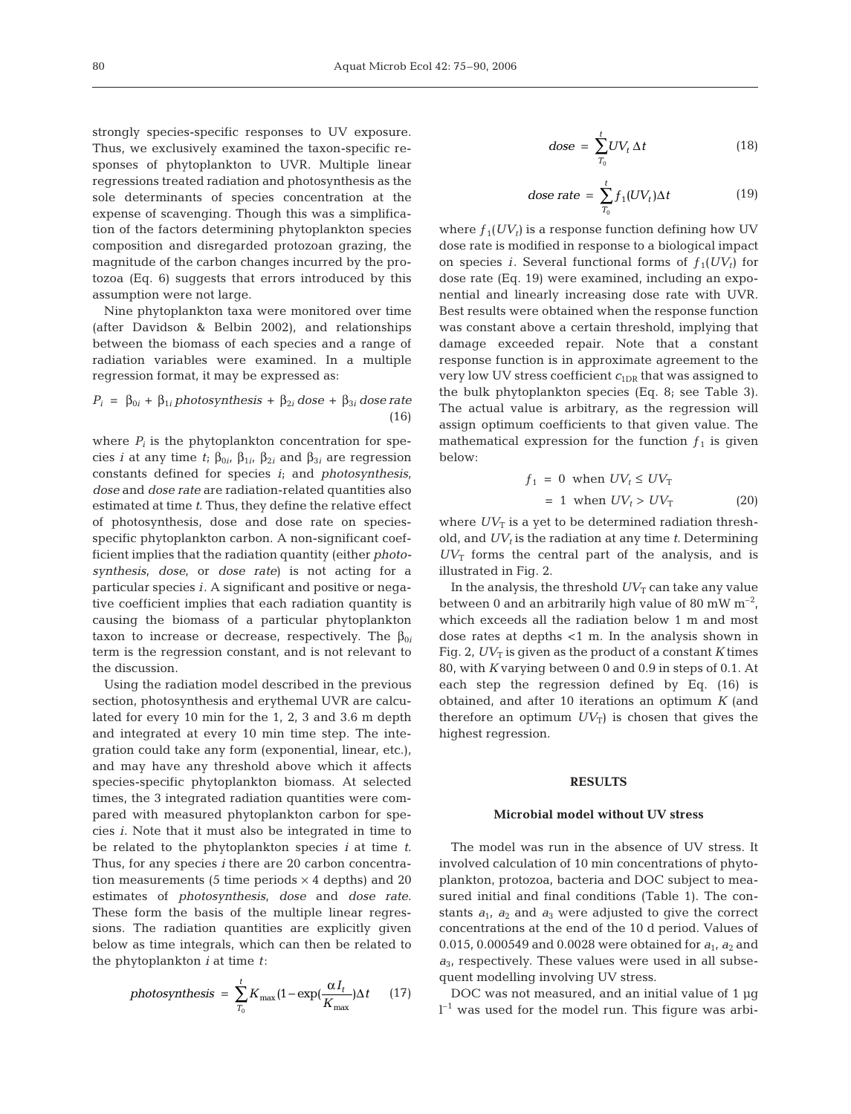strongly species-specific responses to UV exposure. Thus, we exclusively examined the taxon-specific responses of phytoplankton to UVR. Multiple linear regressions treated radiation and photosynthesis as the sole determinants of species concentration at the expense of scavenging*.* Though this was a simplification of the factors determining phytoplankton species composition and disregarded protozoan grazing, the magnitude of the carbon changes incurred by the protozoa (Eq. 6) suggests that errors introduced by this assumption were not large.

Nine phytoplankton taxa were monitored over time (after Davidson & Belbin 2002), and relationships between the biomass of each species and a range of radiation variables were examined. In a multiple regression format, it may be expressed as:

$$
P_i = \beta_{0i} + \beta_{1i} photosynthesis + \beta_{2i} dose + \beta_{3i} dose rate
$$
\n(16)

where  $P_i$  is the phytoplankton concentration for species *i* at any time *t*;  $\beta_{0i}$ ,  $\beta_{1i}$ ,  $\beta_{2i}$  and  $\beta_{3i}$  are regression constants defined for species *i*; and *photosynthesis*, *dose* and *dose rate* are radiation-related quantities also estimated at time *t*. Thus, they define the relative effect of photosynthesis, dose and dose rate on speciesspecific phytoplankton carbon. A non-significant coefficient implies that the radiation quantity (either *photosynthesis*, *dose*, or *dose rate*) is not acting for a particular species *i*. A significant and positive or negative coefficient implies that each radiation quantity is causing the biomass of a particular phytoplankton taxon to increase or decrease, respectively. The  $β_{0i}$ term is the regression constant, and is not relevant to the discussion.

Using the radiation model described in the previous section, photosynthesis and erythemal UVR are calculated for every 10 min for the 1, 2, 3 and 3.6 m depth and integrated at every 10 min time step. The integration could take any form (exponential, linear, etc.), and may have any threshold above which it affects species-specific phytoplankton biomass. At selected times, the 3 integrated radiation quantities were compared with measured phytoplankton carbon for species *i*. Note that it must also be integrated in time to be related to the phytoplankton species *i* at time *t*. Thus, for any species *i* there are 20 carbon concentration measurements (5 time periods  $\times$  4 depths) and 20 estimates of *photosynthesis*, *dose* and *dose rate*. These form the basis of the multiple linear regressions. The radiation quantities are explicitly given below as time integrals, which can then be related to the phytoplankton *i* at time *t*:

$$
photosynthesis = \sum_{T_0}^{t} K_{\text{max}} (1 - \exp(\frac{\alpha I_t}{K_{\text{max}}}) \Delta t \qquad (17)
$$

$$
dose = \sum_{T_0}^{t} UV_t \, \Delta t \tag{18}
$$

$$
dose\ rate = \sum_{T_0}^{t} f_1(UV_t)\Delta t \tag{19}
$$

where  $f_1(UV_t)$  is a response function defining how UV dose rate is modified in response to a biological impact on species *i*. Several functional forms of  $f_1(UV_t)$  for dose rate (Eq. 19) were examined, including an exponential and linearly increasing dose rate with UVR. Best results were obtained when the response function was constant above a certain threshold, implying that damage exceeded repair. Note that a constant response function is in approximate agreement to the very low UV stress coefficient  $c_{1DR}$  that was assigned to the bulk phytoplankton species (Eq. 8; see Table 3). The actual value is arbitrary, as the regression will assign optimum coefficients to that given value. The mathematical expression for the function  $f_1$  is given below:

$$
f_1 = 0 \text{ when } UV_t \le UV_T
$$
  
= 1 when  $UV_t > UV_T$  (20)

where  $UV_T$  is a yet to be determined radiation threshold, and  $UV_t$  is the radiation at any time  $t$ . Determining  $UV_T$  forms the central part of the analysis, and is illustrated in Fig. 2.

In the analysis, the threshold  $UV_T$  can take any value between 0 and an arbitrarily high value of 80 mW  $m^{-2}$ , which exceeds all the radiation below 1 m and most dose rates at depths <1 m. In the analysis shown in Fig. 2,  $UV_T$  is given as the product of a constant  $K$  times 80, with *K* varying between 0 and 0.9 in steps of 0.1. At each step the regression defined by Eq. (16) is obtained, and after 10 iterations an optimum *K* (and therefore an optimum  $UV_T$ ) is chosen that gives the highest regression.

## **RESULTS**

# **Microbial model without UV stress**

The model was run in the absence of UV stress. It involved calculation of 10 min concentrations of phytoplankton, protozoa, bacteria and DOC subject to measured initial and final conditions (Table 1). The constants  $a_1$ ,  $a_2$  and  $a_3$  were adjusted to give the correct concentrations at the end of the 10 d period. Values of 0.015, 0.000549 and 0.0028 were obtained for  $a_1$ ,  $a_2$  and  $a_{3}$ , respectively. These values were used in all subsequent modelling involving UV stress.

DOC was not measured, and an initial value of 1 μg  $l^{-1}$  was used for the model run. This figure was arbi-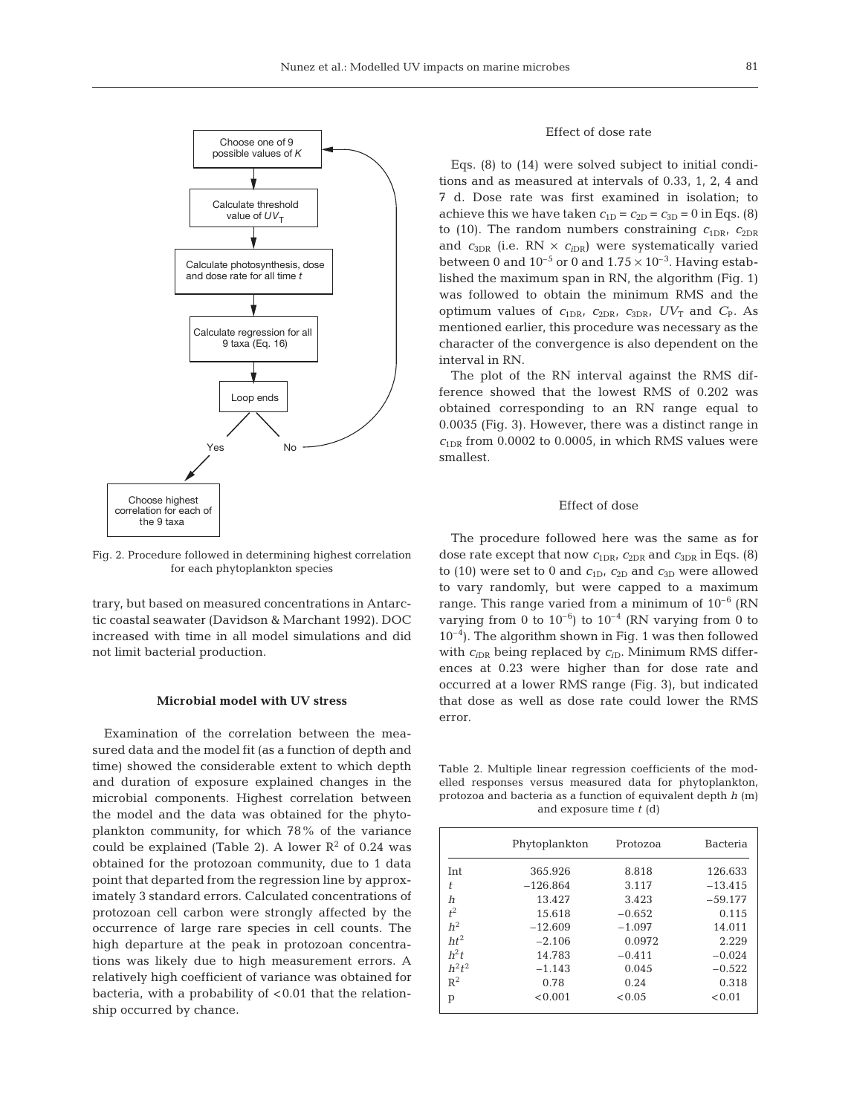

Fig. 2. Procedure followed in determining highest correlation for each phytoplankton species

trary, but based on measured concentrations in Antarctic coastal seawater (Davidson & Marchant 1992). DOC increased with time in all model simulations and did not limit bacterial production.

## **Microbial model with UV stress**

Examination of the correlation between the measured data and the model fit (as a function of depth and time) showed the considerable extent to which depth and duration of exposure explained changes in the microbial components. Highest correlation between the model and the data was obtained for the phytoplankton community, for which 78% of the variance could be explained (Table 2). A lower  $\mathbb{R}^2$  of 0.24 was obtained for the protozoan community, due to 1 data point that departed from the regression line by approximately 3 standard errors. Calculated concentrations of protozoan cell carbon were strongly affected by the occurrence of large rare species in cell counts. The high departure at the peak in protozoan concentrations was likely due to high measurement errors. A relatively high coefficient of variance was obtained for bacteria, with a probability of < 0.01 that the relationship occurred by chance.

# Effect of dose rate

Eqs. (8) to (14) were solved subject to initial conditions and as measured at intervals of 0.33, 1, 2, 4 and 7 d. Dose rate was first examined in isolation; to achieve this we have taken  $c_{1D} = c_{2D} = c_{3D} = 0$  in Eqs. (8) to (10). The random numbers constraining  $c_{1DR}$ ,  $c_{2DR}$ and  $c_{3DR}$  (i.e. RN  $\times$   $c_{iDR}$ ) were systematically varied between 0 and  $10^{-5}$  or 0 and  $1.75 \times 10^{-3}$ . Having established the maximum span in RN, the algorithm (Fig. 1) was followed to obtain the minimum RMS and the optimum values of  $c_{1DR}$ ,  $c_{2DR}$ ,  $c_{3DR}$ ,  $UV_T$  and  $C_P$ . As mentioned earlier, this procedure was necessary as the character of the convergence is also dependent on the interval in RN.

The plot of the RN interval against the RMS difference showed that the lowest RMS of 0.202 was obtained corresponding to an RN range equal to 0.0035 (Fig. 3). However, there was a distinct range in  $c<sub>1DR</sub>$  from 0.0002 to 0.0005, in which RMS values were smallest.

# Effect of dose

The procedure followed here was the same as for dose rate except that now  $c_{1\text{DR}}$ ,  $c_{2\text{DR}}$  and  $c_{3\text{DR}}$  in Eqs. (8) to (10) were set to 0 and  $c_{1D}$ ,  $c_{2D}$  and  $c_{3D}$  were allowed to vary randomly, but were capped to a maximum range. This range varied from a minimum of  $10^{-6}$  (RN varying from 0 to  $10^{-6}$ ) to  $10^{-4}$  (RN varying from 0 to  $10^{-4}$ ). The algorithm shown in Fig. 1 was then followed with  $c_{iDR}$  being replaced by  $c_{iD}$ . Minimum RMS differences at 0.23 were higher than for dose rate and occurred at a lower RMS range (Fig. 3), but indicated that dose as well as dose rate could lower the RMS error.

Table 2. Multiple linear regression coefficients of the modelled responses versus measured data for phytoplankton, protozoa and bacteria as a function of equivalent depth *h* (m) and exposure time *t* (d)

|                | Phytoplankton | Protozoa | <b>Bacteria</b> |
|----------------|---------------|----------|-----------------|
| <b>Int</b>     | 365.926       | 8.818    | 126.633         |
| t              | $-126.864$    | 3.117    | $-13.415$       |
| h              | 13.427        | 3.423    | $-59.177$       |
| $t^2$          | 15.618        | $-0.652$ | 0.115           |
| h <sup>2</sup> | $-12.609$     | $-1.097$ | 14.011          |
| $ht^2$         | $-2.106$      | 0.0972   | 2.229           |
| $h^2t$         | 14.783        | $-0.411$ | $-0.024$        |
| $h^2t^2$       | $-1.143$      | 0.045    | $-0.522$        |
| $R^2$          | 0.78          | 0.24     | 0.318           |
| p              | < 0.001       | < 0.05   | < 0.01          |
|                |               |          |                 |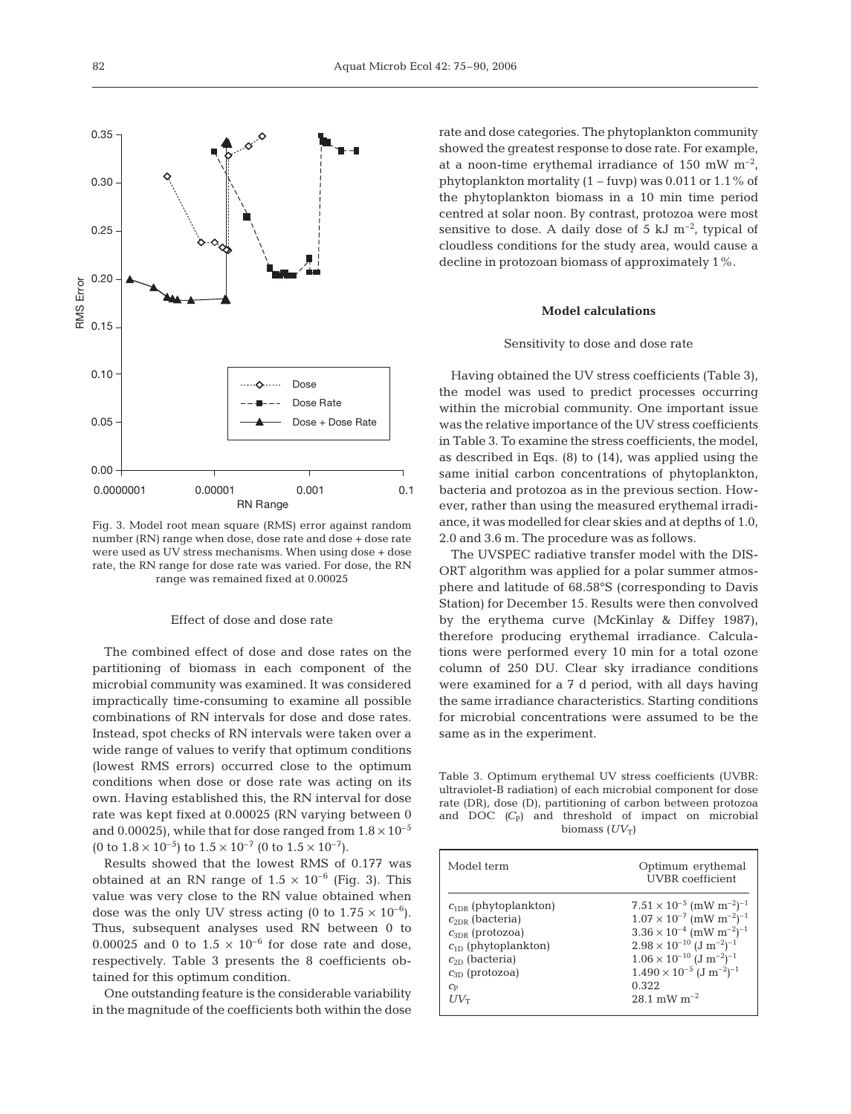

Fig. 3. Model root mean square (RMS) error against random number (RN) range when dose, dose rate and dose + dose rate were used as UV stress mechanisms. When using dose + dose rate, the RN range for dose rate was varied. For dose, the RN range was remained fixed at 0.00025

## Effect of dose and dose rate

The combined effect of dose and dose rates on the partitioning of biomass in each component of the microbial community was examined. It was considered impractically time-consuming to examine all possible combinations of RN intervals for dose and dose rates. Instead, spot checks of RN intervals were taken over a wide range of values to verify that optimum conditions (lowest RMS errors) occurred close to the optimum conditions when dose or dose rate was acting on its own. Having established this, the RN interval for dose rate was kept fixed at 0.00025 (RN varying between 0 and 0.00025), while that for dose ranged from  $1.8 \times 10^{-5}$ (0 to  $1.8 \times 10^{-5}$ ) to  $1.5 \times 10^{-7}$  (0 to  $1.5 \times 10^{-7}$ ).

Results showed that the lowest RMS of 0.177 was obtained at an RN range of  $1.5 \times 10^{-6}$  (Fig. 3). This value was very close to the RN value obtained when dose was the only UV stress acting (0 to  $1.75 \times 10^{-6}$ ). Thus, subsequent analyses used RN between 0 to 0.00025 and 0 to  $1.5 \times 10^{-6}$  for dose rate and dose, respectively. Table 3 presents the 8 coefficients obtained for this optimum condition.

One outstanding feature is the considerable variability in the magnitude of the coefficients both within the dose rate and dose categories. The phytoplankton community showed the greatest response to dose rate. For example, at a noon-time erythemal irradiance of 150 mW  $m^{-2}$ , phytoplankton mortality  $(1 - f_{\text{uvp}})$  was 0.011 or 1.1% of the phytoplankton biomass in a 10 min time period centred at solar noon. By contrast, protozoa were most sensitive to dose. A daily dose of 5 kJ  $m^{-2}$ , typical of cloudless conditions for the study area, would cause a decline in protozoan biomass of approximately 1%.

# **Model calculations**

## Sensitivity to dose and dose rate

Having obtained the UV stress coefficients (Table 3), the model was used to predict processes occurring within the microbial community. One important issue was the relative importance of the UV stress coefficients in Table 3. To examine the stress coefficients, the model, as described in Eqs. (8) to (14), was applied using the same initial carbon concentrations of phytoplankton, bacteria and protozoa as in the previous section. However, rather than using the measured erythemal irradiance, it was modelled for clear skies and at depths of 1.0, 2.0 and 3.6 m. The procedure was as follows.

The UVSPEC radiative transfer model with the DIS-ORT algorithm was applied for a polar summer atmosphere and latitude of 68.58°S (corresponding to Davis Station) for December 15. Results were then convolved by the erythema curve (McKinlay & Diffey 1987), therefore producing erythemal irradiance. Calculations were performed every 10 min for a total ozone column of 250 DU. Clear sky irradiance conditions were examined for a 7 d period, with all days having the same irradiance characteristics. Starting conditions for microbial concentrations were assumed to be the same as in the experiment.

Table 3. Optimum erythemal UV stress coefficients (UVBR: ultraviolet-B radiation) of each microbial component for dose rate (DR), dose (D), partitioning of carbon between protozoa and DOC (C<sub>P</sub>) and threshold of impact on microbial biomass  $(UV_T)$ 

| Model term                | Optimum erythemal<br><b>UVBR</b> coefficient              |
|---------------------------|-----------------------------------------------------------|
| $c_{1DR}$ (phytoplankton) | $7.51 \times 10^{-5}$ (mW m <sup>-2</sup> ) <sup>-1</sup> |
| $c_{2DR}$ (bacteria)      | $1.07 \times 10^{-7}$ (mW m <sup>-2</sup> ) <sup>-1</sup> |
| $C_{3DR}$ (protozoa)      | $3.36 \times 10^{-4}$ (mW m <sup>-2</sup> ) <sup>-1</sup> |
| $c_{1D}$ (phytoplankton)  | $2.98 \times 10^{-10}$ $(J \text{ m}^{-2})^{-1}$          |
| $c_{2D}$ (bacteria)       | $1.06 \times 10^{-10}$ $(J \text{ m}^{-2})^{-1}$          |
| $c_{3D}$ (protozoa)       | $1.490 \times 10^{-5}$ $(J \text{ m}^{-2})^{-1}$          |
| $C_{\rm P}$               | 0.322                                                     |
| $UV_{\rm T}$              | $28.1 \text{ mW m}^{-2}$                                  |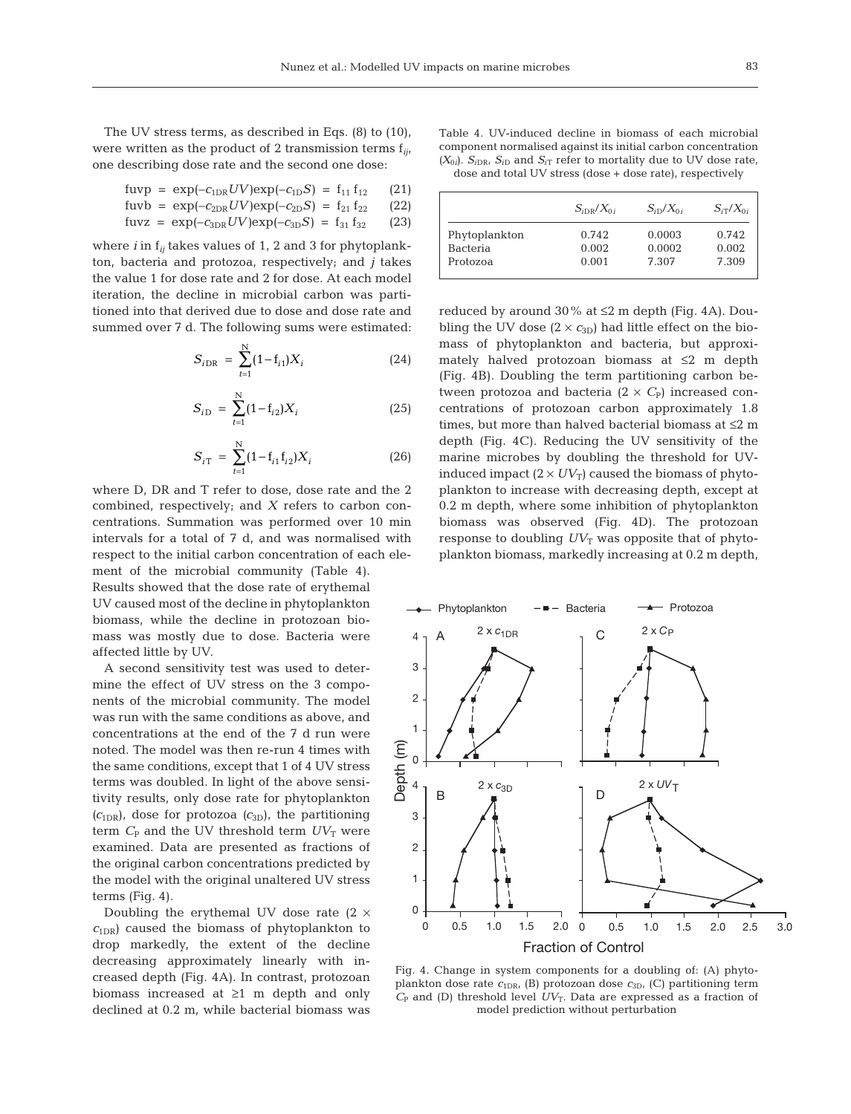The UV stress terms, as described in Eqs. (8) to (10), were written as the product of 2 transmission terms f*ij,* one describing dose rate and the second one dose:

fuvp = 
$$
\exp(-c_{1DR}UV)\exp(-c_{1D}S) = f_{11}f_{12}
$$
 (21)  
fuvb =  $\exp(-c_{2D}UV)\exp(-c_{2D}S) = f_{21}f_{22}$  (22)

fuvz = 
$$
\exp(-c_{3DR}UV)\exp(-c_{3D}S) = f_{31}f_{32}
$$
 (23)

where *i* in f*ij* takes values of 1, 2 and 3 for phytoplankton, bacteria and protozoa, respectively; and *j* takes the value 1 for dose rate and 2 for dose. At each model iteration, the decline in microbial carbon was partitioned into that derived due to dose and dose rate and summed over 7 d. The following sums were estimated:

$$
S_{i\text{DR}} = \sum_{t=1}^{N} (1 - f_{i1}) X_i \tag{24}
$$

$$
S_{i\text{D}} = \sum_{t=1}^{N} (1 - f_{i2}) X_i \tag{25}
$$

$$
S_{iT} = \sum_{t=1}^{N} (1 - f_{i1} f_{i2}) X_i
$$
 (26)

where D, DR and T refer to dose, dose rate and the 2 combined, respectively; and *X* refers to carbon concentrations. Summation was performed over 10 min intervals for a total of 7 d, and was normalised with respect to the initial carbon concentration of each element of the microbial community (Table 4).

Results showed that the dose rate of erythemal UV caused most of the decline in phytoplankton biomass, while the decline in protozoan biomass was mostly due to dose. Bacteria were affected little by UV.

A second sensitivity test was used to determine the effect of UV stress on the 3 components of the microbial community. The model was run with the same conditions as above, and concentrations at the end of the 7 d run were noted. The model was then re-run 4 times with the same conditions, except that 1 of 4 UV stress terms was doubled. In light of the above sensitivity results, only dose rate for phytoplankton  $(c_{1DR})$ , dose for protozoa  $(c_{3D})$ , the partitioning term  $C_{P}$  and the UV threshold term  $UV_{T}$  were examined. Data are presented as fractions of the original carbon concentrations predicted by the model with the original unaltered UV stress terms (Fig. 4).

Doubling the erythemal UV dose rate  $(2 \times$  $c<sub>1DR</sub>$  caused the biomass of phytoplankton to drop markedly, the extent of the decline decreasing approximately linearly with increased depth (Fig. 4A). In contrast, protozoan biomass increased at ≥1 m depth and only declined at 0.2 m, while bacterial biomass was

Table 4. UV-induced decline in biomass of each microbial component normalised against its initial carbon concentration  $(X_{0i})$ .  $S_{iDR}$ ,  $S_{iD}$  and  $S_{iT}$  refer to mortality due to UV dose rate, dose and total UV stress (dose + dose rate), respectively

| $S_{iDR}/X_{0i}$ | $S_{iD}/X_{0i}$ | $S_{iT}/X_{0i}$ |
|------------------|-----------------|-----------------|
| 0.742            | 0.0003          | 0.742           |
| 0.002            | 0.0002          | 0.002           |
| 0.001            | 7.307           | 7.309           |
|                  |                 |                 |

reduced by around 30% at ≤2 m depth (Fig. 4A). Doubling the UV dose  $(2 \times c_{3D})$  had little effect on the biomass of phytoplankton and bacteria, but approximately halved protozoan biomass at ≤2 m depth (Fig. 4B). Doubling the term partitioning carbon between protozoa and bacteria  $(2 \times C_{P})$  increased concentrations of protozoan carbon approximately 1.8 times, but more than halved bacterial biomass at ≤2 m depth (Fig. 4C). Reducing the UV sensitivity of the marine microbes by doubling the threshold for UVinduced impact  $(2 \times UV_T)$  caused the biomass of phytoplankton to increase with decreasing depth, except at 0.2 m depth, where some inhibition of phytoplankton biomass was observed (Fig. 4D). The protozoan response to doubling  $UV_T$  was opposite that of phytoplankton biomass, markedly increasing at 0.2 m depth,



Fig. 4. Change in system components for a doubling of: (A) phytoplankton dose rate  $c_{1DR}$ , (B) protozoan dose  $c_{3D}$ , (C) partitioning term  $C_{\rm P}$  and (D) threshold level  $UV_{\rm T}$ . Data are expressed as a fraction of model prediction without perturbation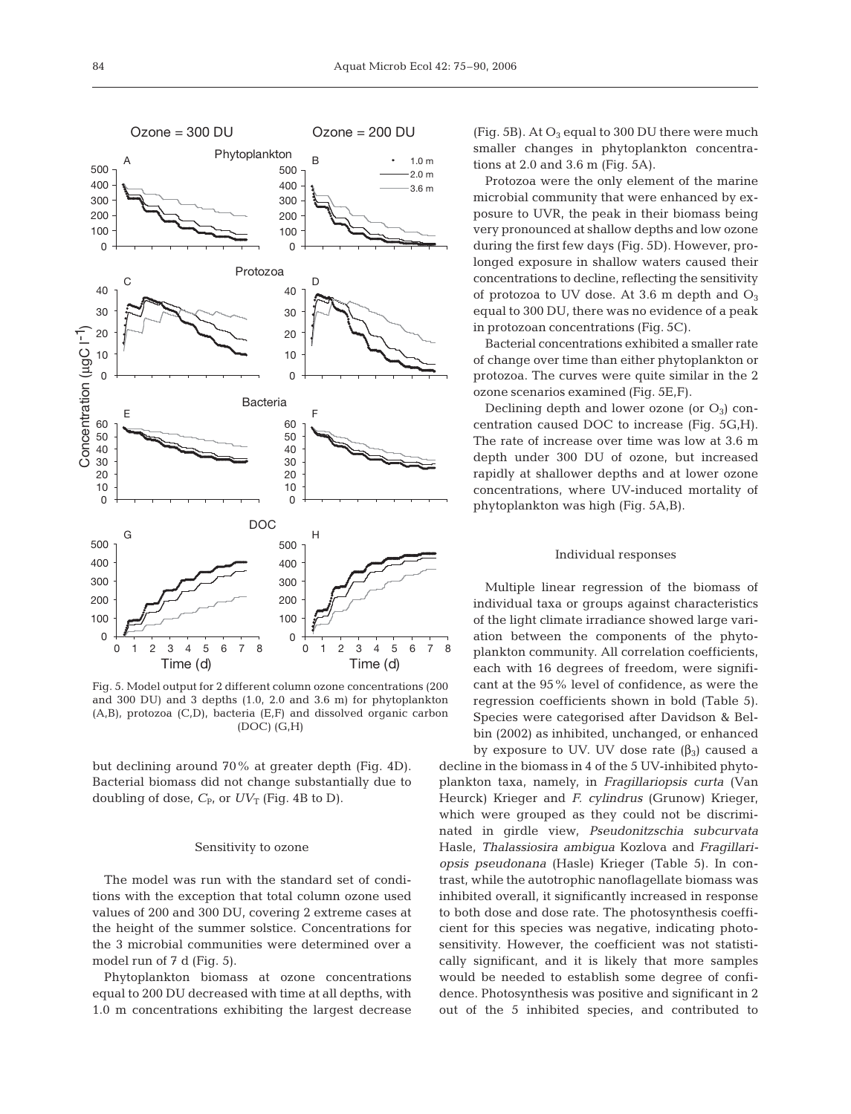

Fig. 5. Model output for 2 different column ozone concentrations (200 and 300 DU) and 3 depths (1.0, 2.0 and 3.6 m) for phytoplankton (A,B), protozoa (C,D), bacteria (E,F) and dissolved organic carbon (DOC) (G,H)

but declining around 70% at greater depth (Fig. 4D). Bacterial biomass did not change substantially due to doubling of dose,  $C_{P}$ , or  $UV_T$  (Fig. 4B to D).

## Sensitivity to ozone

The model was run with the standard set of conditions with the exception that total column ozone used values of 200 and 300 DU, covering 2 extreme cases at the height of the summer solstice. Concentrations for the 3 microbial communities were determined over a model run of 7 d (Fig. 5).

Phytoplankton biomass at ozone concentrations equal to 200 DU decreased with time at all depths, with 1.0 m concentrations exhibiting the largest decrease

(Fig. 5B). At  $O_3$  equal to 300 DU there were much smaller changes in phytoplankton concentrations at 2.0 and 3.6 m (Fig. 5A).

Protozoa were the only element of the marine microbial community that were enhanced by exposure to UVR, the peak in their biomass being very pronounced at shallow depths and low ozone during the first few days (Fig. 5D). However, prolonged exposure in shallow waters caused their concentrations to decline, reflecting the sensitivity of protozoa to UV dose. At 3.6 m depth and  $O_3$ equal to 300 DU, there was no evidence of a peak in protozoan concentrations (Fig. 5C).

Bacterial concentrations exhibited a smaller rate of change over time than either phytoplankton or protozoa. The curves were quite similar in the 2 ozone scenarios examined (Fig. 5E,F).

Declining depth and lower ozone (or  $O_3$ ) concentration caused DOC to increase (Fig. 5G,H). The rate of increase over time was low at 3.6 m depth under 300 DU of ozone, but increased rapidly at shallower depths and at lower ozone concentrations, where UV-induced mortality of phytoplankton was high (Fig. 5A,B).

## Individual responses

Multiple linear regression of the biomass of individual taxa or groups against characteristics of the light climate irradiance showed large variation between the components of the phytoplankton community. All correlation coefficients, each with 16 degrees of freedom, were significant at the 95% level of confidence, as were the regression coefficients shown in bold (Table 5). Species were categorised after Davidson & Belbin (2002) as inhibited, unchanged, or enhanced by exposure to UV. UV dose rate  $(β<sub>3</sub>)$  caused a

decline in the biomass in 4 of the 5 UV-inhibited phytoplankton taxa, namely, in *Fragillariopsis curta* (Van Heurck) Krieger and *F. cylindrus* (Grunow) Krieger, which were grouped as they could not be discriminated in girdle view, *Pseudonitzschia subcurvata* Hasle, *Thalassiosira ambigua* Kozlova and *Fragillariopsis pseudonana* (Hasle) Krieger (Table 5). In contrast, while the autotrophic nanoflagellate biomass was inhibited overall, it significantly increased in response to both dose and dose rate. The photosynthesis coefficient for this species was negative, indicating photosensitivity. However, the coefficient was not statistically significant, and it is likely that more samples would be needed to establish some degree of confidence. Photosynthesis was positive and significant in 2 out of the 5 inhibited species, and contributed to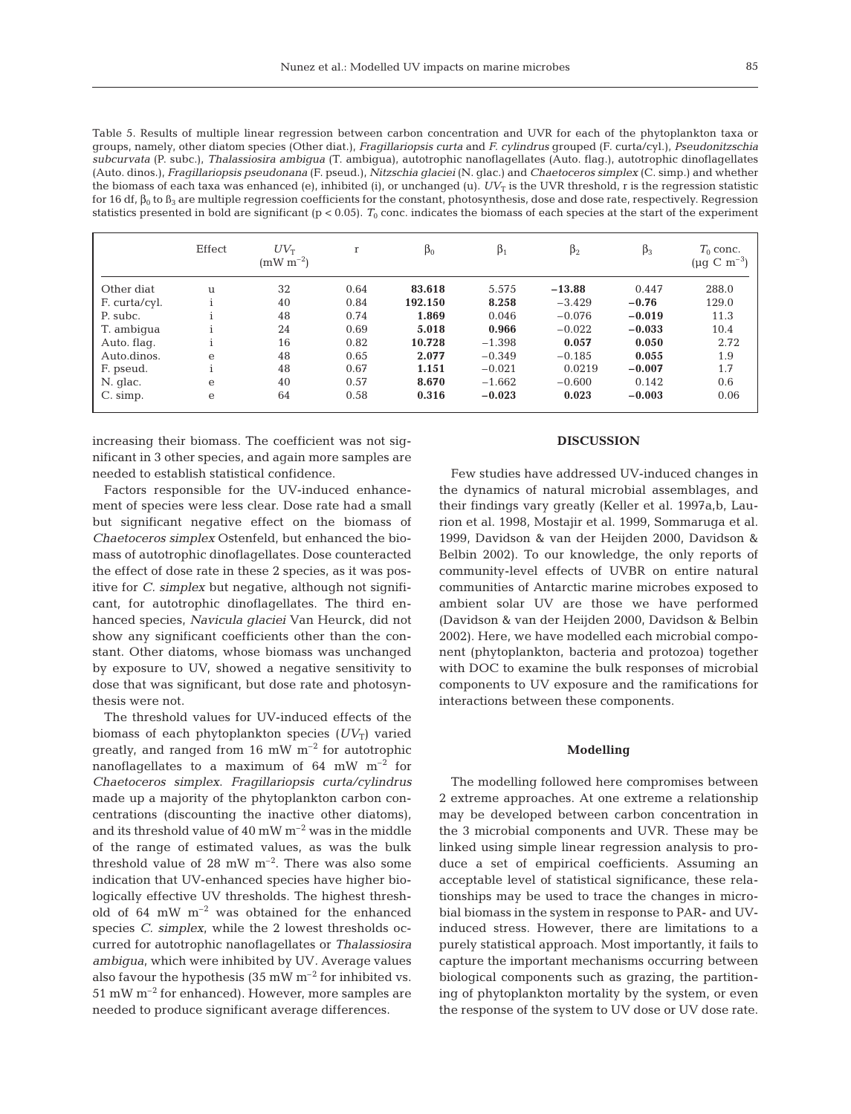Table 5. Results of multiple linear regression between carbon concentration and UVR for each of the phytoplankton taxa or groups, namely, other diatom species (Other diat.), *Fragillariopsis curta* and *F. cylindrus* grouped (F. curta/cyl.), *Pseudonitzschia subcurvata* (P. subc.), *Thalassiosira ambigua* (T. ambigua), autotrophic nanoflagellates (Auto. flag.), autotrophic dinoflagellates (Auto. dinos.), *Fragillariopsis pseudonana* (F. pseud.), *Nitzschia glaciei* (N. glac.) and *Chaetoceros simplex* (C. simp.) and whether the biomass of each taxa was enhanced (e), inhibited (i), or unchanged (u).  $UV_T$  is the UVR threshold, r is the regression statistic for 16 df,  $β_0$  to  $β_3$  are multiple regression coefficients for the constant, photosynthesis, dose and dose rate, respectively. Regression statistics presented in bold are significant ( $p < 0.05$ ).  $T_0$  conc. indicates the biomass of each species at the start of the experiment

|               | Effect | $UV_{\rm T}$<br>$(mW m^{-2})$ | r    | $\beta_0$ | $\beta_1$ | $\beta_2$ | $\beta_3$ | $T_0$ conc.<br>$(\mu g \, C \, m^{-3})$ |
|---------------|--------|-------------------------------|------|-----------|-----------|-----------|-----------|-----------------------------------------|
| Other diat    | u      | 32                            | 0.64 | 83.618    | 5.575     | $-13.88$  | 0.447     | 288.0                                   |
| F. curta/cyl. |        | 40                            | 0.84 | 192.150   | 8.258     | $-3.429$  | $-0.76$   | 129.0                                   |
| P. subc.      |        | 48                            | 0.74 | 1.869     | 0.046     | $-0.076$  | $-0.019$  | 11.3                                    |
| T. ambigua    |        | 24                            | 0.69 | 5.018     | 0.966     | $-0.022$  | $-0.033$  | 10.4                                    |
| Auto. flag.   |        | 16                            | 0.82 | 10.728    | $-1.398$  | 0.057     | 0.050     | 2.72                                    |
| Auto.dinos.   | e      | 48                            | 0.65 | 2.077     | $-0.349$  | $-0.185$  | 0.055     | 1.9                                     |
| F. pseud.     |        | 48                            | 0.67 | 1.151     | $-0.021$  | 0.0219    | $-0.007$  | 1.7                                     |
| N. glac.      | e      | 40                            | 0.57 | 8.670     | $-1.662$  | $-0.600$  | 0.142     | 0.6                                     |
| C. simp.      | e      | 64                            | 0.58 | 0.316     | $-0.023$  | 0.023     | $-0.003$  | 0.06                                    |

increasing their biomass. The coefficient was not significant in 3 other species, and again more samples are needed to establish statistical confidence.

Factors responsible for the UV-induced enhancement of species were less clear. Dose rate had a small but significant negative effect on the biomass of *Chaetoceros simplex* Ostenfeld, but enhanced the biomass of autotrophic dinoflagellates. Dose counteracted the effect of dose rate in these 2 species, as it was positive for *C. simplex* but negative, although not significant, for autotrophic dinoflagellates. The third enhanced species, *Navicula glaciei* Van Heurck, did not show any significant coefficients other than the constant. Other diatoms, whose biomass was unchanged by exposure to UV, showed a negative sensitivity to dose that was significant, but dose rate and photosynthesis were not.

The threshold values for UV-induced effects of the biomass of each phytoplankton species  $(UV_T)$  varied greatly, and ranged from 16 mW  $m^{-2}$  for autotrophic nanoflagellates to a maximum of 64 mW  $m^{-2}$  for *Chaetoceros simplex*. *Fragillariopsis curta/cylindrus* made up a majority of the phytoplankton carbon concentrations (discounting the inactive other diatoms), and its threshold value of 40 mW  $m^{-2}$  was in the middle of the range of estimated values, as was the bulk threshold value of 28 mW  $m^{-2}$ . There was also some indication that UV-enhanced species have higher biologically effective UV thresholds. The highest threshold of 64 mW  $m^{-2}$  was obtained for the enhanced species *C. simplex*, while the 2 lowest thresholds occurred for autotrophic nanoflagellates or *Thalassiosira ambigua*, which were inhibited by UV*.* Average values also favour the hypothesis (35 mW  $m^{-2}$  for inhibited vs.  $51 \text{ mW m}^{-2}$  for enhanced). However, more samples are needed to produce significant average differences.

# **DISCUSSION**

Few studies have addressed UV-induced changes in the dynamics of natural microbial assemblages, and their findings vary greatly (Keller et al. 1997a,b, Laurion et al. 1998, Mostajir et al. 1999, Sommaruga et al. 1999, Davidson & van der Heijden 2000, Davidson & Belbin 2002). To our knowledge, the only reports of community-level effects of UVBR on entire natural communities of Antarctic marine microbes exposed to ambient solar UV are those we have performed (Davidson & van der Heijden 2000, Davidson & Belbin 2002). Here, we have modelled each microbial component (phytoplankton, bacteria and protozoa) together with DOC to examine the bulk responses of microbial components to UV exposure and the ramifications for interactions between these components.

# **Modelling**

The modelling followed here compromises between 2 extreme approaches. At one extreme a relationship may be developed between carbon concentration in the 3 microbial components and UVR. These may be linked using simple linear regression analysis to produce a set of empirical coefficients. Assuming an acceptable level of statistical significance, these relationships may be used to trace the changes in microbial biomass in the system in response to PAR- and UVinduced stress. However, there are limitations to a purely statistical approach. Most importantly, it fails to capture the important mechanisms occurring between biological components such as grazing, the partitioning of phytoplankton mortality by the system, or even the response of the system to UV dose or UV dose rate.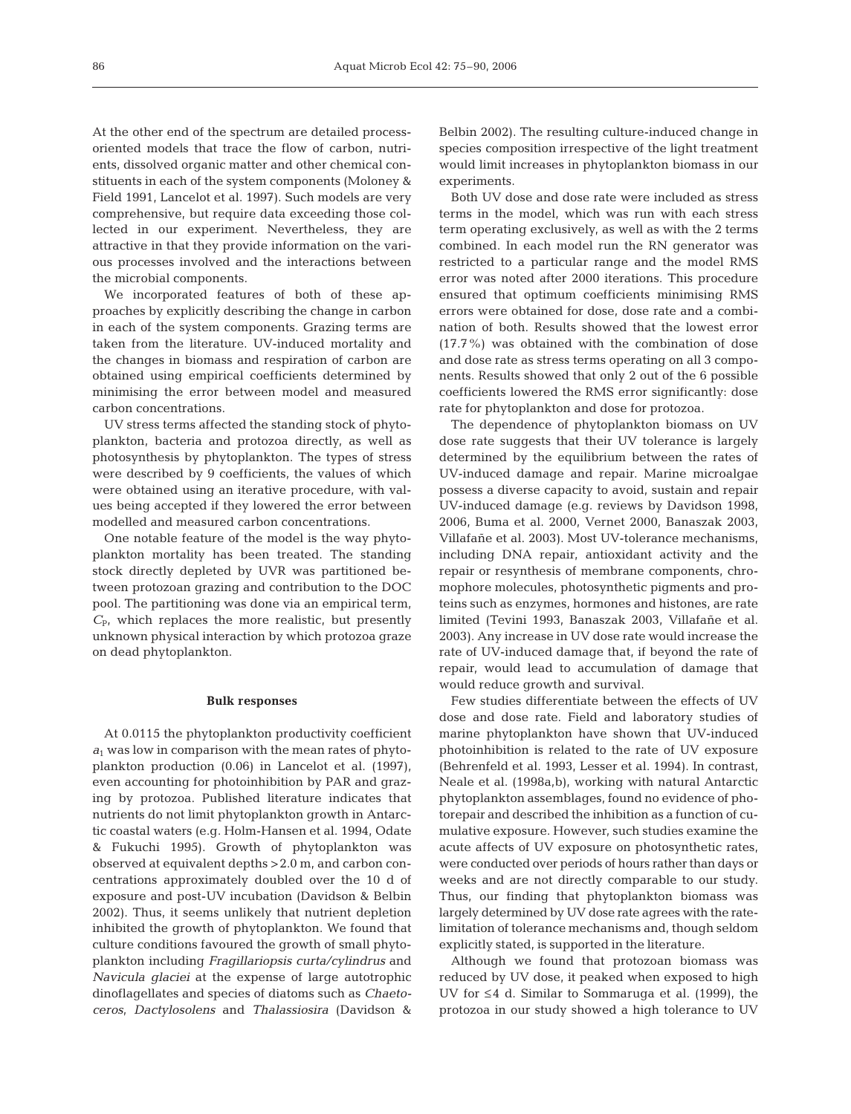At the other end of the spectrum are detailed processoriented models that trace the flow of carbon, nutrients, dissolved organic matter and other chemical constituents in each of the system components (Moloney & Field 1991, Lancelot et al. 1997). Such models are very comprehensive, but require data exceeding those collected in our experiment. Nevertheless, they are attractive in that they provide information on the various processes involved and the interactions between the microbial components.

We incorporated features of both of these approaches by explicitly describing the change in carbon in each of the system components. Grazing terms are taken from the literature. UV-induced mortality and the changes in biomass and respiration of carbon are obtained using empirical coefficients determined by minimising the error between model and measured carbon concentrations.

UV stress terms affected the standing stock of phytoplankton, bacteria and protozoa directly, as well as photosynthesis by phytoplankton. The types of stress were described by 9 coefficients, the values of which were obtained using an iterative procedure, with values being accepted if they lowered the error between modelled and measured carbon concentrations.

One notable feature of the model is the way phytoplankton mortality has been treated. The standing stock directly depleted by UVR was partitioned between protozoan grazing and contribution to the DOC pool. The partitioning was done via an empirical term,  $C_{P}$ , which replaces the more realistic, but presently unknown physical interaction by which protozoa graze on dead phytoplankton.

## **Bulk responses**

At 0.0115 the phytoplankton productivity coefficient *a*<sup>1</sup> was low in comparison with the mean rates of phytoplankton production (0.06) in Lancelot et al. (1997), even accounting for photoinhibition by PAR and grazing by protozoa. Published literature indicates that nutrients do not limit phytoplankton growth in Antarctic coastal waters (e.g. Holm-Hansen et al. 1994, Odate & Fukuchi 1995). Growth of phytoplankton was observed at equivalent depths >2.0 m, and carbon concentrations approximately doubled over the 10 d of exposure and post-UV incubation (Davidson & Belbin 2002). Thus, it seems unlikely that nutrient depletion inhibited the growth of phytoplankton. We found that culture conditions favoured the growth of small phytoplankton including *Fragillariopsis curta/cylindrus* and *Navicula glaciei* at the expense of large autotrophic dinoflagellates and species of diatoms such as *Chaetoceros*, *Dactylosolens* and *Thalassiosira* (Davidson &

Belbin 2002). The resulting culture-induced change in species composition irrespective of the light treatment would limit increases in phytoplankton biomass in our experiments.

Both UV dose and dose rate were included as stress terms in the model, which was run with each stress term operating exclusively, as well as with the 2 terms combined. In each model run the RN generator was restricted to a particular range and the model RMS error was noted after 2000 iterations. This procedure ensured that optimum coefficients minimising RMS errors were obtained for dose, dose rate and a combination of both. Results showed that the lowest error (17.7%) was obtained with the combination of dose and dose rate as stress terms operating on all 3 components. Results showed that only 2 out of the 6 possible coefficients lowered the RMS error significantly: dose rate for phytoplankton and dose for protozoa.

The dependence of phytoplankton biomass on UV dose rate suggests that their UV tolerance is largely determined by the equilibrium between the rates of UV-induced damage and repair. Marine microalgae possess a diverse capacity to avoid, sustain and repair UV-induced damage (e.g. reviews by Davidson 1998, 2006, Buma et al. 2000, Vernet 2000, Banaszak 2003, Villafañe et al. 2003). Most UV-tolerance mechanisms, including DNA repair, antioxidant activity and the repair or resynthesis of membrane components, chromophore molecules, photosynthetic pigments and proteins such as enzymes, hormones and histones, are rate limited (Tevini 1993, Banaszak 2003, Villafañe et al. 2003). Any increase in UV dose rate would increase the rate of UV-induced damage that, if beyond the rate of repair, would lead to accumulation of damage that would reduce growth and survival.

Few studies differentiate between the effects of UV dose and dose rate. Field and laboratory studies of marine phytoplankton have shown that UV-induced photoinhibition is related to the rate of UV exposure (Behrenfeld et al. 1993, Lesser et al. 1994). In contrast, Neale et al. (1998a,b), working with natural Antarctic phytoplankton assemblages, found no evidence of photorepair and described the inhibition as a function of cumulative exposure. However, such studies examine the acute affects of UV exposure on photosynthetic rates, were conducted over periods of hours rather than days or weeks and are not directly comparable to our study. Thus, our finding that phytoplankton biomass was largely determined by UV dose rate agrees with the ratelimitation of tolerance mechanisms and, though seldom explicitly stated, is supported in the literature.

Although we found that protozoan biomass was reduced by UV dose, it peaked when exposed to high UV for ≤4 d. Similar to Sommaruga et al. (1999), the protozoa in our study showed a high tolerance to UV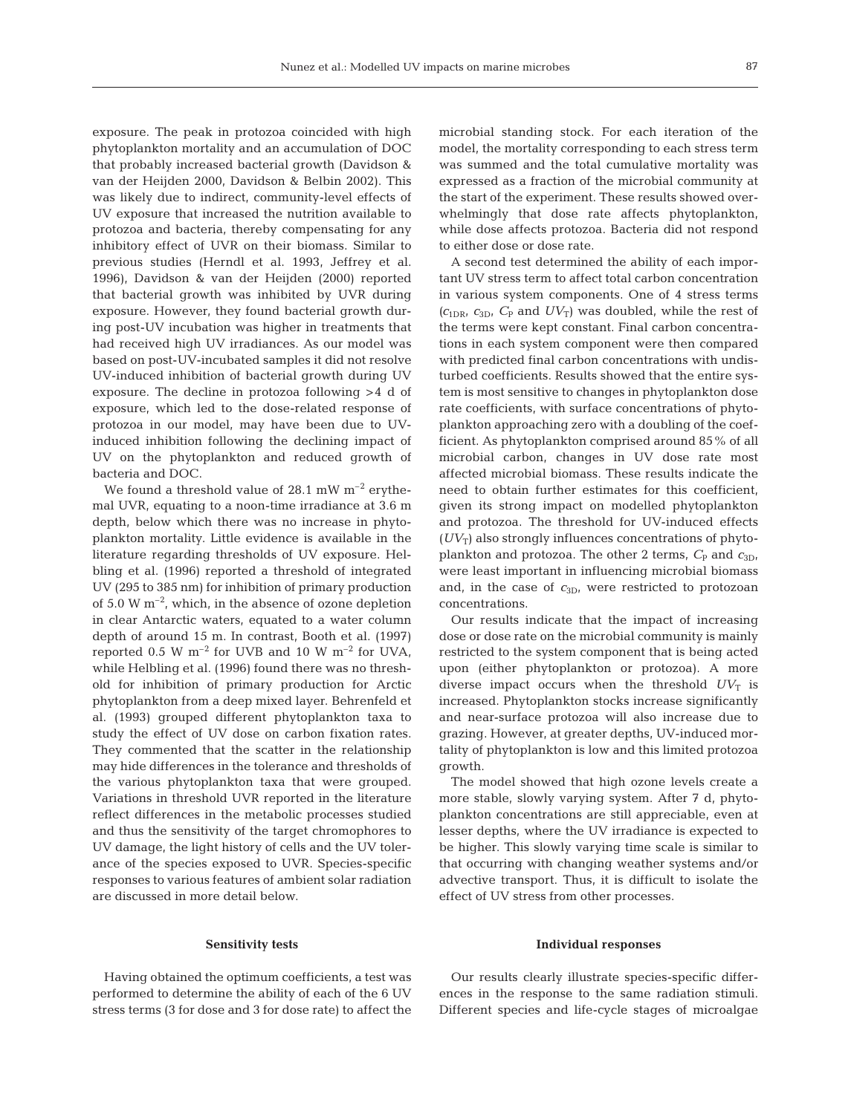exposure. The peak in protozoa coincided with high phytoplankton mortality and an accumulation of DOC that probably increased bacterial growth (Davidson & van der Heijden 2000, Davidson & Belbin 2002). This was likely due to indirect, community-level effects of UV exposure that increased the nutrition available to protozoa and bacteria, thereby compensating for any inhibitory effect of UVR on their biomass. Similar to previous studies (Herndl et al. 1993, Jeffrey et al. 1996), Davidson & van der Heijden (2000) reported that bacterial growth was inhibited by UVR during exposure. However, they found bacterial growth during post-UV incubation was higher in treatments that had received high UV irradiances. As our model was based on post-UV-incubated samples it did not resolve UV-induced inhibition of bacterial growth during UV exposure. The decline in protozoa following >4 d of exposure, which led to the dose-related response of protozoa in our model, may have been due to UVinduced inhibition following the declining impact of UV on the phytoplankton and reduced growth of bacteria and DOC.

We found a threshold value of 28.1 mW  $m^{-2}$  erythemal UVR, equating to a noon-time irradiance at 3.6 m depth, below which there was no increase in phytoplankton mortality. Little evidence is available in the literature regarding thresholds of UV exposure. Helbling et al. (1996) reported a threshold of integrated UV (295 to 385 nm) for inhibition of primary production of 5.0 W  $m^{-2}$ , which, in the absence of ozone depletion in clear Antarctic waters, equated to a water column depth of around 15 m. In contrast, Booth et al. (1997) reported 0.5 W  $m^{-2}$  for UVB and 10 W  $m^{-2}$  for UVA, while Helbling et al. (1996) found there was no threshold for inhibition of primary production for Arctic phytoplankton from a deep mixed layer. Behrenfeld et al. (1993) grouped different phytoplankton taxa to study the effect of UV dose on carbon fixation rates. They commented that the scatter in the relationship may hide differences in the tolerance and thresholds of the various phytoplankton taxa that were grouped. Variations in threshold UVR reported in the literature reflect differences in the metabolic processes studied and thus the sensitivity of the target chromophores to UV damage, the light history of cells and the UV tolerance of the species exposed to UVR. Species-specific responses to various features of ambient solar radiation are discussed in more detail below.

## **Sensitivity tests**

Having obtained the optimum coefficients, a test was performed to determine the ability of each of the 6 UV stress terms (3 for dose and 3 for dose rate) to affect the microbial standing stock. For each iteration of the model, the mortality corresponding to each stress term was summed and the total cumulative mortality was expressed as a fraction of the microbial community at the start of the experiment. These results showed overwhelmingly that dose rate affects phytoplankton, while dose affects protozoa. Bacteria did not respond to either dose or dose rate.

A second test determined the ability of each important UV stress term to affect total carbon concentration in various system components. One of 4 stress terms  $(c_{1DR}, c_{3D}, C_P$  and  $UV_T$ ) was doubled, while the rest of the terms were kept constant. Final carbon concentrations in each system component were then compared with predicted final carbon concentrations with undisturbed coefficients. Results showed that the entire system is most sensitive to changes in phytoplankton dose rate coefficients, with surface concentrations of phytoplankton approaching zero with a doubling of the coefficient. As phytoplankton comprised around 85% of all microbial carbon, changes in UV dose rate most affected microbial biomass. These results indicate the need to obtain further estimates for this coefficient, given its strong impact on modelled phytoplankton and protozoa. The threshold for UV-induced effects  $(UV_T)$  also strongly influences concentrations of phytoplankton and protozoa. The other 2 terms,  $C_{\rm P}$  and  $c_{3D}$ , were least important in influencing microbial biomass and, in the case of  $c_{3D}$ , were restricted to protozoan concentrations.

Our results indicate that the impact of increasing dose or dose rate on the microbial community is mainly restricted to the system component that is being acted upon (either phytoplankton or protozoa). A more diverse impact occurs when the threshold  $UV_T$  is increased. Phytoplankton stocks increase significantly and near-surface protozoa will also increase due to grazing. However, at greater depths, UV-induced mortality of phytoplankton is low and this limited protozoa growth.

The model showed that high ozone levels create a more stable, slowly varying system. After 7 d, phytoplankton concentrations are still appreciable, even at lesser depths, where the UV irradiance is expected to be higher. This slowly varying time scale is similar to that occurring with changing weather systems and/or advective transport. Thus, it is difficult to isolate the effect of UV stress from other processes.

## **Individual responses**

Our results clearly illustrate species-specific differences in the response to the same radiation stimuli. Different species and life-cycle stages of microalgae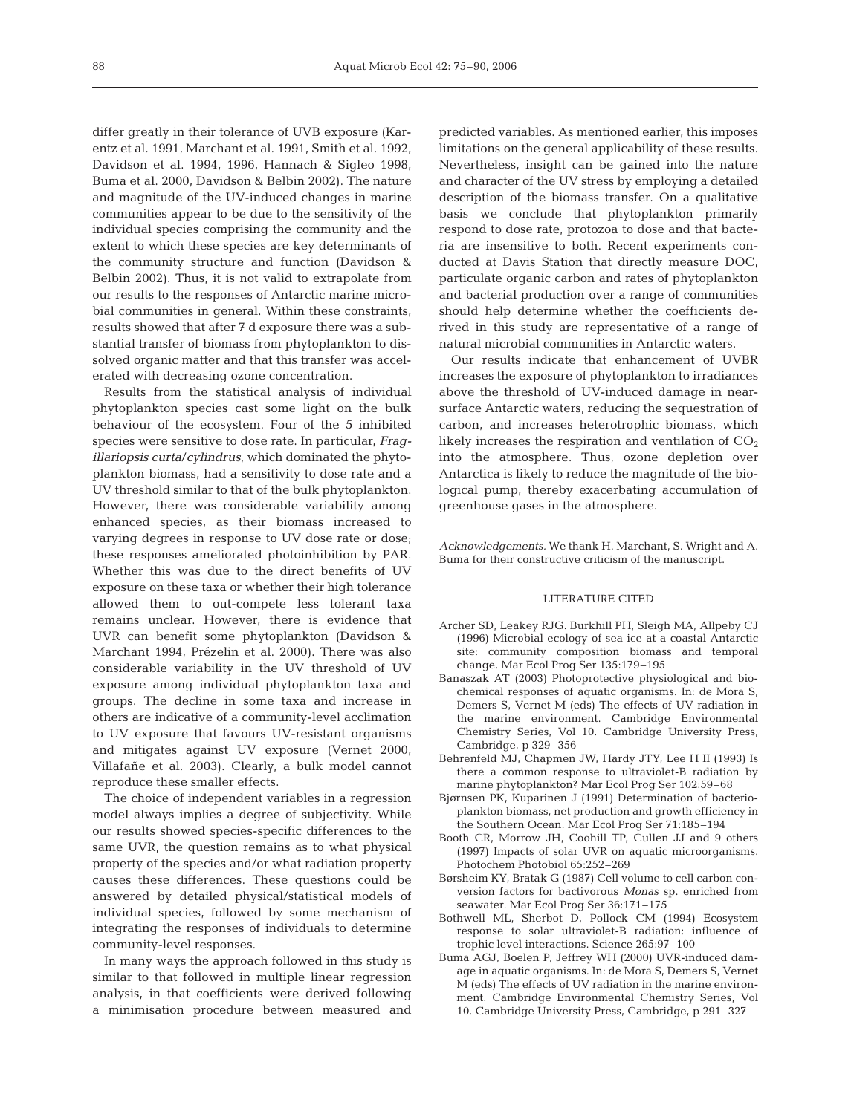differ greatly in their tolerance of UVB exposure (Karentz et al. 1991, Marchant et al. 1991, Smith et al. 1992, Davidson et al. 1994, 1996, Hannach & Sigleo 1998, Buma et al. 2000, Davidson & Belbin 2002). The nature and magnitude of the UV-induced changes in marine communities appear to be due to the sensitivity of the individual species comprising the community and the extent to which these species are key determinants of the community structure and function (Davidson & Belbin 2002). Thus, it is not valid to extrapolate from our results to the responses of Antarctic marine microbial communities in general. Within these constraints, results showed that after 7 d exposure there was a substantial transfer of biomass from phytoplankton to dissolved organic matter and that this transfer was accelerated with decreasing ozone concentration.

Results from the statistical analysis of individual phytoplankton species cast some light on the bulk behaviour of the ecosystem. Four of the 5 inhibited species were sensitive to dose rate. In particular, *Fragillariopsis curta*/*cylindrus*, which dominated the phytoplankton biomass, had a sensitivity to dose rate and a UV threshold similar to that of the bulk phytoplankton. However, there was considerable variability among enhanced species, as their biomass increased to varying degrees in response to UV dose rate or dose; these responses ameliorated photoinhibition by PAR. Whether this was due to the direct benefits of UV exposure on these taxa or whether their high tolerance allowed them to out-compete less tolerant taxa remains unclear. However, there is evidence that UVR can benefit some phytoplankton (Davidson & Marchant 1994, Prézelin et al. 2000). There was also considerable variability in the UV threshold of UV exposure among individual phytoplankton taxa and groups. The decline in some taxa and increase in others are indicative of a community-level acclimation to UV exposure that favours UV-resistant organisms and mitigates against UV exposure (Vernet 2000, Villafañe et al. 2003). Clearly, a bulk model cannot reproduce these smaller effects.

The choice of independent variables in a regression model always implies a degree of subjectivity. While our results showed species-specific differences to the same UVR, the question remains as to what physical property of the species and/or what radiation property causes these differences. These questions could be answered by detailed physical/statistical models of individual species, followed by some mechanism of integrating the responses of individuals to determine community-level responses.

In many ways the approach followed in this study is similar to that followed in multiple linear regression analysis, in that coefficients were derived following a minimisation procedure between measured and

predicted variables. As mentioned earlier, this imposes limitations on the general applicability of these results. Nevertheless, insight can be gained into the nature and character of the UV stress by employing a detailed description of the biomass transfer. On a qualitative basis we conclude that phytoplankton primarily respond to dose rate, protozoa to dose and that bacteria are insensitive to both. Recent experiments conducted at Davis Station that directly measure DOC, particulate organic carbon and rates of phytoplankton and bacterial production over a range of communities should help determine whether the coefficients derived in this study are representative of a range of natural microbial communities in Antarctic waters.

Our results indicate that enhancement of UVBR increases the exposure of phytoplankton to irradiances above the threshold of UV-induced damage in nearsurface Antarctic waters, reducing the sequestration of carbon, and increases heterotrophic biomass, which likely increases the respiration and ventilation of  $CO<sub>2</sub>$ into the atmosphere. Thus, ozone depletion over Antarctica is likely to reduce the magnitude of the biological pump, thereby exacerbating accumulation of greenhouse gases in the atmosphere.

*Acknowledgements.* We thank H. Marchant, S. Wright and A. Buma for their constructive criticism of the manuscript.

## LITERATURE CITED

- Archer SD, Leakey RJG. Burkhill PH, Sleigh MA, Allpeby CJ (1996) Microbial ecology of sea ice at a coastal Antarctic site: community composition biomass and temporal change. Mar Ecol Prog Ser 135:179–195
- Banaszak AT (2003) Photoprotective physiological and biochemical responses of aquatic organisms. In: de Mora S, Demers S, Vernet M (eds) The effects of UV radiation in the marine environment. Cambridge Environmental Chemistry Series, Vol 10. Cambridge University Press, Cambridge, p 329–356
- Behrenfeld MJ, Chapmen JW, Hardy JTY, Lee H II (1993) Is there a common response to ultraviolet-B radiation by marine phytoplankton? Mar Ecol Prog Ser 102:59–68
- Bjørnsen PK, Kuparinen J (1991) Determination of bacterioplankton biomass, net production and growth efficiency in the Southern Ocean. Mar Ecol Prog Ser 71:185–194
- Booth CR, Morrow JH, Coohill TP, Cullen JJ and 9 others (1997) Impacts of solar UVR on aquatic microorganisms. Photochem Photobiol 65:252–269
- Børsheim KY, Bratak G (1987) Cell volume to cell carbon conversion factors for bactivorous *Monas* sp. enriched from seawater. Mar Ecol Prog Ser 36:171–175
- Bothwell ML, Sherbot D, Pollock CM (1994) Ecosystem response to solar ultraviolet-B radiation: influence of trophic level interactions. Science 265:97–100
- Buma AGJ, Boelen P, Jeffrey WH (2000) UVR-induced damage in aquatic organisms. In: de Mora S, Demers S, Vernet M (eds) The effects of UV radiation in the marine environment. Cambridge Environmental Chemistry Series, Vol 10. Cambridge University Press, Cambridge, p 291–327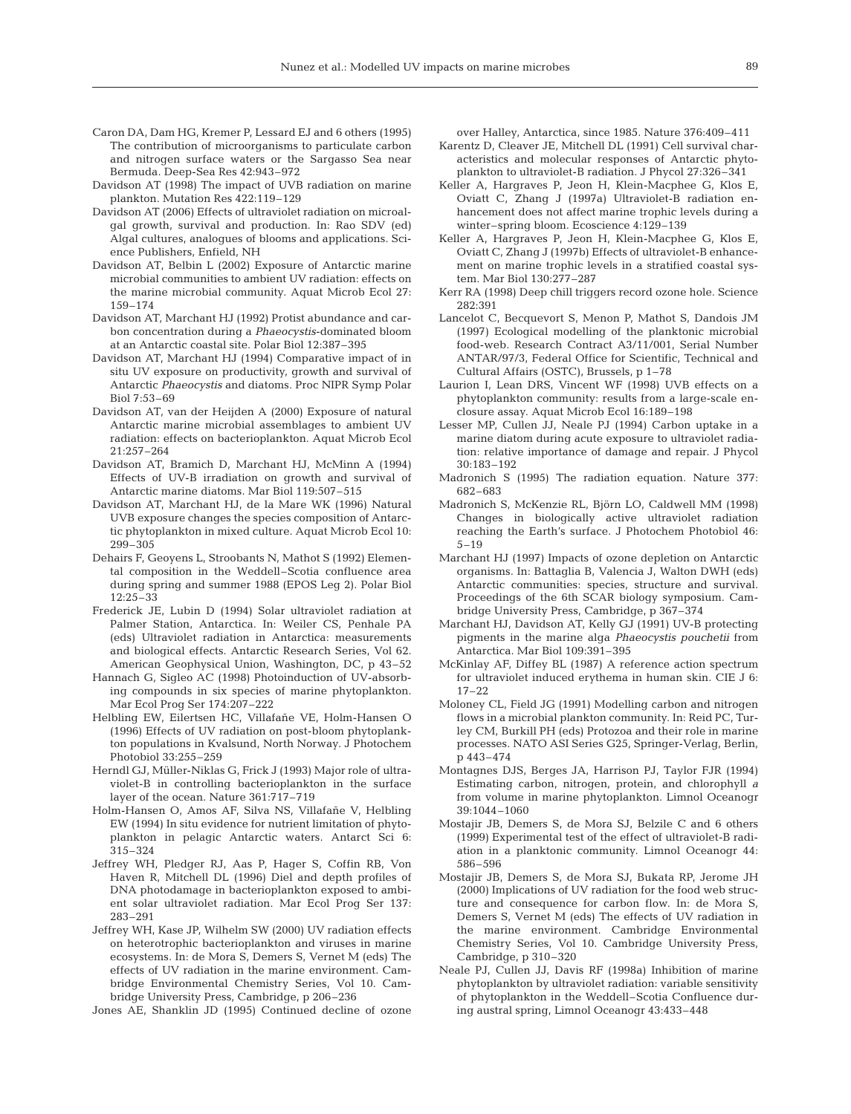- Caron DA, Dam HG, Kremer P, Lessard EJ and 6 others (1995) The contribution of microorganisms to particulate carbon and nitrogen surface waters or the Sargasso Sea near Bermuda. Deep-Sea Res 42:943–972
- Davidson AT (1998) The impact of UVB radiation on marine plankton. Mutation Res 422:119–129
- Davidson AT (2006) Effects of ultraviolet radiation on microalgal growth, survival and production. In: Rao SDV (ed) Algal cultures, analogues of blooms and applications. Science Publishers, Enfield, NH
- Davidson AT, Belbin L (2002) Exposure of Antarctic marine microbial communities to ambient UV radiation: effects on the marine microbial community. Aquat Microb Ecol 27: 159–174
- Davidson AT, Marchant HJ (1992) Protist abundance and carbon concentration during a *Phaeocystis*-dominated bloom at an Antarctic coastal site. Polar Biol 12:387–395
- Davidson AT, Marchant HJ (1994) Comparative impact of in situ UV exposure on productivity, growth and survival of Antarctic *Phaeocystis* and diatoms. Proc NIPR Symp Polar Biol 7:53–69
- Davidson AT, van der Heijden A (2000) Exposure of natural Antarctic marine microbial assemblages to ambient UV radiation: effects on bacterioplankton. Aquat Microb Ecol 21:257–264
- Davidson AT, Bramich D, Marchant HJ, McMinn A (1994) Effects of UV-B irradiation on growth and survival of Antarctic marine diatoms. Mar Biol 119:507–515
- Davidson AT, Marchant HJ, de la Mare WK (1996) Natural UVB exposure changes the species composition of Antarctic phytoplankton in mixed culture. Aquat Microb Ecol 10: 299–305
- Dehairs F, Geoyens L, Stroobants N, Mathot S (1992) Elemental composition in the Weddell–Scotia confluence area during spring and summer 1988 (EPOS Leg 2). Polar Biol 12:25–33
- Frederick JE, Lubin D (1994) Solar ultraviolet radiation at Palmer Station, Antarctica. In: Weiler CS, Penhale PA (eds) Ultraviolet radiation in Antarctica: measurements and biological effects. Antarctic Research Series, Vol 62. American Geophysical Union, Washington, DC, p 43–52
- Hannach G, Sigleo AC (1998) Photoinduction of UV-absorbing compounds in six species of marine phytoplankton. Mar Ecol Prog Ser 174:207–222
- Helbling EW, Eilertsen HC, Villafañe VE, Holm-Hansen O (1996) Effects of UV radiation on post-bloom phytoplankton populations in Kvalsund, North Norway. J Photochem Photobiol 33:255–259
- Herndl GJ, Müller-Niklas G, Frick J (1993) Major role of ultraviolet-B in controlling bacterioplankton in the surface layer of the ocean. Nature 361:717–719
- Holm-Hansen O, Amos AF, Silva NS, Villafañe V, Helbling EW (1994) In situ evidence for nutrient limitation of phytoplankton in pelagic Antarctic waters. Antarct Sci 6: 315–324
- Jeffrey WH, Pledger RJ, Aas P, Hager S, Coffin RB, Von Haven R, Mitchell DL (1996) Diel and depth profiles of DNA photodamage in bacterioplankton exposed to ambient solar ultraviolet radiation. Mar Ecol Prog Ser 137: 283–291
- Jeffrey WH, Kase JP, Wilhelm SW (2000) UV radiation effects on heterotrophic bacterioplankton and viruses in marine ecosystems. In: de Mora S, Demers S, Vernet M (eds) The effects of UV radiation in the marine environment. Cambridge Environmental Chemistry Series, Vol 10. Cambridge University Press, Cambridge, p 206–236

Jones AE, Shanklin JD (1995) Continued decline of ozone

over Halley, Antarctica, since 1985. Nature 376:409–411

- Karentz D, Cleaver JE, Mitchell DL (1991) Cell survival characteristics and molecular responses of Antarctic phytoplankton to ultraviolet-B radiation. J Phycol 27:326–341
- Keller A, Hargraves P, Jeon H, Klein-Macphee G, Klos E, Oviatt C, Zhang J (1997a) Ultraviolet-B radiation enhancement does not affect marine trophic levels during a winter–spring bloom. Ecoscience 4:129–139
- Keller A, Hargraves P, Jeon H, Klein-Macphee G, Klos E, Oviatt C, Zhang J (1997b) Effects of ultraviolet-B enhancement on marine trophic levels in a stratified coastal system. Mar Biol 130:277–287
- Kerr RA (1998) Deep chill triggers record ozone hole. Science 282:391
- Lancelot C, Becquevort S, Menon P, Mathot S, Dandois JM (1997) Ecological modelling of the planktonic microbial food-web. Research Contract A3/11/001, Serial Number ANTAR/97/3, Federal Office for Scientific, Technical and Cultural Affairs (OSTC), Brussels, p 1–78
- Laurion I, Lean DRS, Vincent WF (1998) UVB effects on a phytoplankton community: results from a large-scale enclosure assay. Aquat Microb Ecol 16:189–198
- Lesser MP, Cullen JJ, Neale PJ (1994) Carbon uptake in a marine diatom during acute exposure to ultraviolet radiation: relative importance of damage and repair. J Phycol 30:183–192
- Madronich S (1995) The radiation equation. Nature 377: 682–683
- Madronich S, McKenzie RL, Björn LO, Caldwell MM (1998) Changes in biologically active ultraviolet radiation reaching the Earth's surface. J Photochem Photobiol 46: 5–19
- Marchant HJ (1997) Impacts of ozone depletion on Antarctic organisms. In: Battaglia B, Valencia J, Walton DWH (eds) Antarctic communities: species, structure and survival. Proceedings of the 6th SCAR biology symposium. Cambridge University Press, Cambridge, p 367–374
- Marchant HJ, Davidson AT, Kelly GJ (1991) UV-B protecting pigments in the marine alga *Phaeocystis pouchetii* from Antarctica. Mar Biol 109:391–395
- McKinlay AF, Diffey BL (1987) A reference action spectrum for ultraviolet induced erythema in human skin. CIE J 6: 17–22
- Moloney CL, Field JG (1991) Modelling carbon and nitrogen flows in a microbial plankton community. In: Reid PC, Turley CM, Burkill PH (eds) Protozoa and their role in marine processes. NATO ASI Series G25, Springer-Verlag, Berlin, p 443–474
- Montagnes DJS, Berges JA, Harrison PJ, Taylor FJR (1994) Estimating carbon, nitrogen, protein, and chlorophyll *a* from volume in marine phytoplankton. Limnol Oceanogr 39:1044–1060
- Mostajir JB, Demers S, de Mora SJ, Belzile C and 6 others (1999) Experimental test of the effect of ultraviolet-B radiation in a planktonic community. Limnol Oceanogr 44: 586–596
- Mostajir JB, Demers S, de Mora SJ, Bukata RP, Jerome JH (2000) Implications of UV radiation for the food web structure and consequence for carbon flow. In: de Mora S, Demers S, Vernet M (eds) The effects of UV radiation in the marine environment. Cambridge Environmental Chemistry Series, Vol 10. Cambridge University Press, Cambridge, p 310–320
- Neale PJ, Cullen JJ, Davis RF (1998a) Inhibition of marine phytoplankton by ultraviolet radiation: variable sensitivity of phytoplankton in the Weddell–Scotia Confluence during austral spring, Limnol Oceanogr 43:433–448